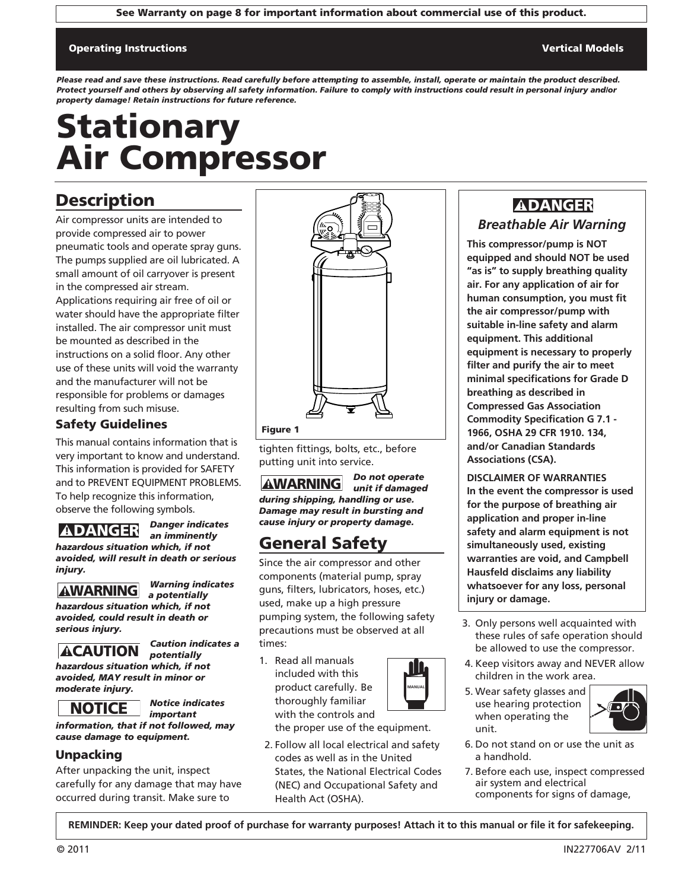See Warranty on page 8 for important information about commercial use of this product.

#### Operating Instructions Vertical Models

*Please read and save these instructions. Read carefully before attempting to assemble, install, operate or maintain the product described. Protect yourself and others by observing all safety information. Failure to comply with instructions could result in personal injury and/or property damage! Retain instructions for future reference.*

# Stationary Air Compressor

### **Description**

Air compressor units are intended to provide compressed air to power pneumatic tools and operate spray guns. The pumps supplied are oil lubricated. A small amount of oil carryover is present in the compressed air stream. Applications requiring air free of oil or water should have the appropriate filter installed. The air compressor unit must be mounted as described in the instructions on a solid floor. Any other use of these units will void the warranty and the manufacturer will not be responsible for problems or damages resulting from such misuse.

### Safety Guidelines

This manual contains information that is very important to know and understand. This information is provided for SAFETY and to PREVENT EQUIPMENT PROBLEMS. To help recognize this information, observe the following symbols.

*Danger indicates an imminently*



#### *Warning indicates a potentially*

*hazardous situation which, if not avoided, could result in death or serious injury.* **ADANGER**<br>
azardous situatic<br>
voided, will resu<br>
jury.<br> **AWARNING**<br>
azardous situatic<br>
voided, could res<br>
rious injury.<br> **ACAUTION**<br>
azardous situatic<br>
voided, MAY res<br>
noderate injury.<br> **NOTICE** 



*Caution indicates a potentially hazardous situation which, if not avoided, MAY result in minor or*



*moderate injury.*

*Notice indicates important*

*information, that if not followed, may cause damage to equipment.*

#### Unpacking

After unpacking the unit, inspect carefully for any damage that may have occurred during transit. Make sure to



tighten fittings, bolts, etc., before putting unit into service.

*Do not operate unit if damaged during shipping, handling or use. Damage may result in bursting and cause injury or property damage.* **AWARNING** 

## General Safety

Since the air compressor and other components (material pump, spray guns, filters, lubricators, hoses, etc.) used, make up a high pressure pumping system, the following safety precautions must be observed at all times:

1. Read all manuals included with this product carefully. Be thoroughly familiar with the controls and

the proper use of the equipment.

**MANUAL**

2. Follow all local electrical and safety codes as well as in the United States, the National Electrical Codes (NEC) and Occupational Safety and Health Act (OSHA).

### *Breathable Air Warning* **ADANGER**

**This compressor/pump is NOT equipped and should NOT be used "as is" to supply breathing quality air. For any application of air for human consumption, you must fit the air compressor/pump with suitable in-line safety and alarm equipment. This additional equipment is necessary to properly filter and purify the air to meet minimal specifications for Grade D breathing as described in Compressed Gas Association Commodity Specification G 7.1 - 1966, OSHA 29 CFR 1910. 134, and/or Canadian Standards Associations (CSA).**

**DISCLAIMER OF WARRANTIES In the event the compressor is used for the purpose of breathing air application and proper in-line safety and alarm equipment is not simultaneously used, existing warranties are void, and Campbell Hausfeld disclaims any liability whatsoever for any loss, personal injury or damage.**

- 3. Only persons well acquainted with these rules of safe operation should be allowed to use the compressor.
- 4. Keep visitors away and NEVER allow children in the work area.
- 5. Wear safety glasses and use hearing protection when operating the unit.



- 6. Do not stand on or use the unit as a handhold.
- 7. Before each use, inspect compressed air system and electrical components for signs of damage,

**REMINDER: Keep your dated proof of purchase for warranty purposes! Attach it to this manual or file it for safekeeping.**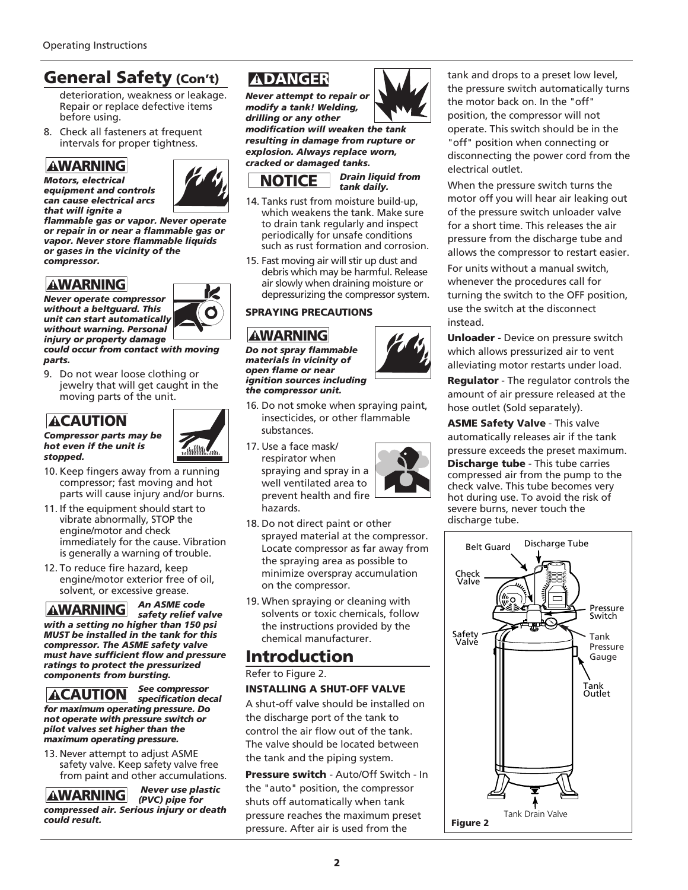### General Safety (Con't)

deterioration, weakness or leakage. Repair or replace defective items before using.

8. Check all fasteners at frequent intervals for proper tightness.

#### **AWARNING** *Motors, electrical*

*equipment and controls can cause electrical arcs*



*that will ignite a flammable gas or vapor. Never operate or repair in or near a flammable gas or vapor. Never store flammable liquids or gases in the vicinity of the compressor.*

### **AWARNING**

*Never operate compressor without a beltguard. This unit can start automatically without warning. Personal injury or property damage*

*could occur from contact with moving parts.*

9. Do not wear loose clothing or jewelry that will get caught in the moving parts of the unit.

### **ACAUTION**





К

- 10. Keep fingers away from a running compressor; fast moving and hot parts will cause injury and/or burns.
- 11. If the equipment should start to vibrate abnormally, STOP the engine/motor and check immediately for the cause. Vibration is generally a warning of trouble.
- 12. To reduce fire hazard, keep engine/motor exterior free of oil, solvent, or excessive grease.

**AWARNING**<br> **AWARNING**<br> **Internal constrained and constrained and constrained and constrained and constrained and warm in or neason. Never store and internal can start autions of the vision of the vision of the vision of t** *An ASME code*  **AWARNING** *safety relief valve with a setting no higher than 150 psi MUST be installed in the tank for this compressor. The ASME safety valve must have sufficient flow and pressure ratings to protect the pressurized components from bursting.* 



13. Never attempt to adjust ASME safety valve. Keep safety valve free from paint and other accumulations.

*Never use plastic*  **AWARNING** *(PVC) pipe for compressed air. Serious injury or death could result.*

*Never attempt to repair or modify a tank! Welding, drilling or any other*

*modification will weaken the tank resulting in damage from rupture or explosion. Always replace worn, cracked or damaged tanks.*



*Drain liquid from tank daily.*

- 14. Tanks rust from moisture build-up, which weakens the tank. Make sure to drain tank regularly and inspect periodically for unsafe conditions such as rust formation and corrosion. **ADANGER**<br>
ever attempt to<br>
odify a tank! We<br>
or any oth<br>
condification will<br>
sexulting in damage<br>
sexulting in damage<br>
sexultion which weakens<br>
to drain tank reperiodically for<br>
such as rust for<br>
such as rust for<br>
such as
- 15. Fast moving air will stir up dust and debris which may be harmful. Release air slowly when draining moisture or depressurizing the compressor system.

#### SPRAYING PRECAUTIONS

*Do not spray flammable materials in vicinity of open flame or near ignition sources including the compressor unit.*

- 16. Do not smoke when spraying paint, insecticides, or other flammable substances.
- 17. Use a face mask/ respirator when spraying and spray in a well ventilated area to prevent health and fire hazards.



- 18. Do not direct paint or other sprayed material at the compressor. Locate compressor as far away from the spraying area as possible to minimize overspray accumulation on the compressor.
- 19. When spraying or cleaning with solvents or toxic chemicals, follow the instructions provided by the chemical manufacturer.

### Introduction

Refer to Figure 2.

#### INSTALLING A SHUT-OFF VALVE

A shut-off valve should be installed on the discharge port of the tank to control the air flow out of the tank. The valve should be located between the tank and the piping system.

Pressure switch - Auto/Off Switch - In the "auto" position, the compressor shuts off automatically when tank pressure reaches the maximum preset pressure. After air is used from the



tank and drops to a preset low level, the pressure switch automatically turns the motor back on. In the "off" position, the compressor will not operate. This switch should be in the "off" position when connecting or disconnecting the power cord from the electrical outlet.

When the pressure switch turns the motor off you will hear air leaking out of the pressure switch unloader valve for a short time. This releases the air pressure from the discharge tube and allows the compressor to restart easier.

For units without a manual switch, whenever the procedures call for turning the switch to the OFF position, use the switch at the disconnect instead.

Unloader - Device on pressure switch which allows pressurized air to vent alleviating motor restarts under load.

Regulator - The regulator controls the amount of air pressure released at the hose outlet (Sold separately).

ASME Safety Valve - This valve automatically releases air if the tank pressure exceeds the preset maximum. Discharge tube - This tube carries compressed air from the pump to the check valve. This tube becomes very hot during use. To avoid the risk of severe burns, never touch the discharge tube.

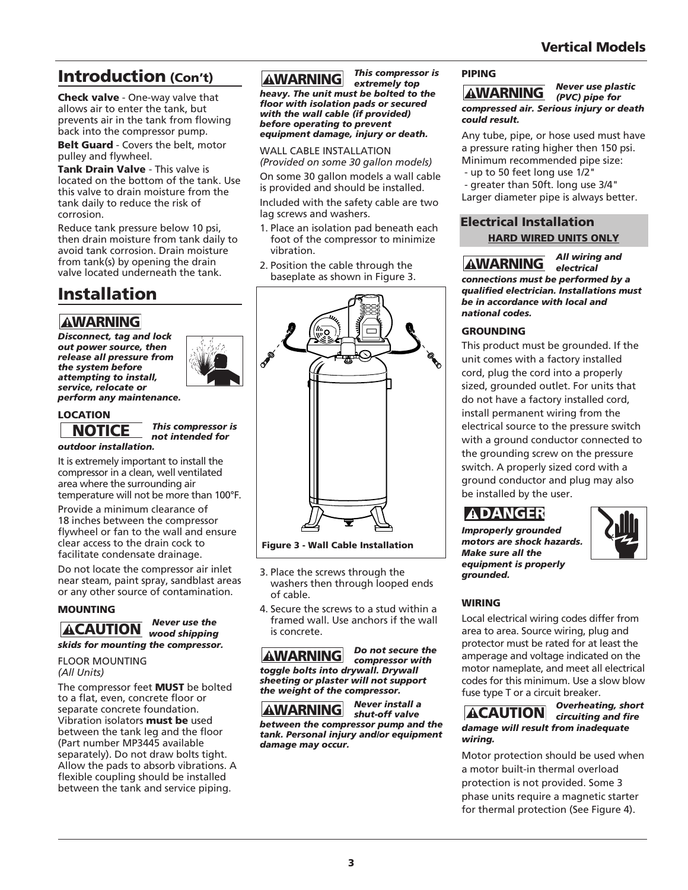## Introduction (Con't)

Check valve - One-way valve that allows air to enter the tank, but prevents air in the tank from flowing back into the compressor pump.

Belt Guard - Covers the belt, motor pulley and flywheel.

Tank Drain Valve - This valve is located on the bottom of the tank. Use this valve to drain moisture from the tank daily to reduce the risk of corrosion.

Reduce tank pressure below 10 psi, then drain moisture from tank daily to avoid tank corrosion. Drain moisture from tank(s) by opening the drain valve located underneath the tank.

## Installation

*Disconnect, tag and lock out power source, then release all pressure from the system before attempting to install, service, relocate or perform any maintenance.* **AWARNING**<br>
isconnect, tag are<br>
ut power source,<br>
elease all pressun<br>
he system before<br>
ttempting to instructed the system before<br>
erform any main<br> **OCATION**<br> **NOTICE**<br>
utdoor installatie<br>
is extremely impo<br>
ompressor in a



#### LOCATION

*This compressor is not intended for outdoor installation.*

It is extremely important to install the compressor in a clean, well ventilated area where the surrounding air temperature will not be more than 100°F.

Provide a minimum clearance of 18 inches between the compressor flywheel or fan to the wall and ensure clear access to the drain cock to facilitate condensate drainage.

Do not locate the compressor air inlet near steam, paint spray, sandblast areas or any other source of contamination.

#### MOUNTING



## FLOOR MOUNTING

### *(All Units)*

The compressor feet **MUST** be bolted to a flat, even, concrete floor or separate concrete foundation. Vibration isolators must be used between the tank leg and the floor (Part number MP3445 available separately). Do not draw bolts tight. Allow the pads to absorb vibrations. A flexible coupling should be installed between the tank and service piping.

#### *This compressor is*  **AWARNING**

*extremely top heavy. The unit must be bolted to the floor with isolation pads or secured with the wall cable (if provided)*

*before operating to prevent equipment damage, injury or death.*

WALL CABLE INSTALLATION *(Provided on some 30 gallon models)*

On some 30 gallon models a wall cable is provided and should be installed.

Included with the safety cable are two lag screws and washers.

- 1. Place an isolation pad beneath each foot of the compressor to minimize vibration.
- 2. Position the cable through the baseplate as shown in Figure 3.



Figure 3 - Wall Cable Installation

- 3. Place the screws through the washers then through looped ends of cable.
- 4. Secure the screws to a stud within a framed wall. Use anchors if the wall is concrete.

*Do not secure the* **AWARNING** *compressor with toggle bolts into drywall. Drywall sheeting or plaster will not support the weight of the compressor.*

*Never install a* **AWARNING** *shut-off valve between the compressor pump and the tank. Personal injury and/or equipment damage may occur.*

#### PIPING

*Never use plastic*  **AWARNING** *(PVC) pipe for compressed air. Serious injury or death could result.*

Any tube, pipe, or hose used must have a pressure rating higher then 150 psi. Minimum recommended pipe size:

- up to 50 feet long use 1/2"

- greater than 50ft. long use 3/4" Larger diameter pipe is always better.

### Electrical Installation HARD WIRED UNITS ONLY

*All wiring and* **AWARNING** *electrical connections must be performed by a qualified electrician. Installations must be in accordance with local and national codes.*

#### GROUNDING

This product must be grounded. If the unit comes with a factory installed cord, plug the cord into a properly sized, grounded outlet. For units that do not have a factory installed cord, install permanent wiring from the electrical source to the pressure switch with a ground conductor connected to the grounding screw on the pressure switch. A properly sized cord with a ground conductor and plug may also be installed by the user. **AWARNING**<br> **AWARNING**<br> **Dompressed air. Set and result.**<br>
In the pipe, or pressure rating h<br>
linimum recommup to 50 feet lon<br>
greater than 50<br>
arger diameter p<br> **lectrical Inst<br>
HARD WIRE**<br> **AWARNING**<br> **DREAD WIRE**<br> **AWAR** 

### **ADANGER**

*Improperly grounded motors are shock hazards. Make sure all the equipment is properly grounded.*



#### WIRING

Local electrical wiring codes differ from area to area. Source wiring, plug and protector must be rated for at least the amperage and voltage indicated on the motor nameplate, and meet all electrical codes for this minimum. Use a slow blow fuse type T or a circuit breaker.

#### *Overheating, short*  **ACAUTION** *circuiting and fire damage will result from inadequate wiring.*

Motor protection should be used when a motor built-in thermal overload protection is not provided. Some 3 phase units require a magnetic starter for thermal protection (See Figure 4).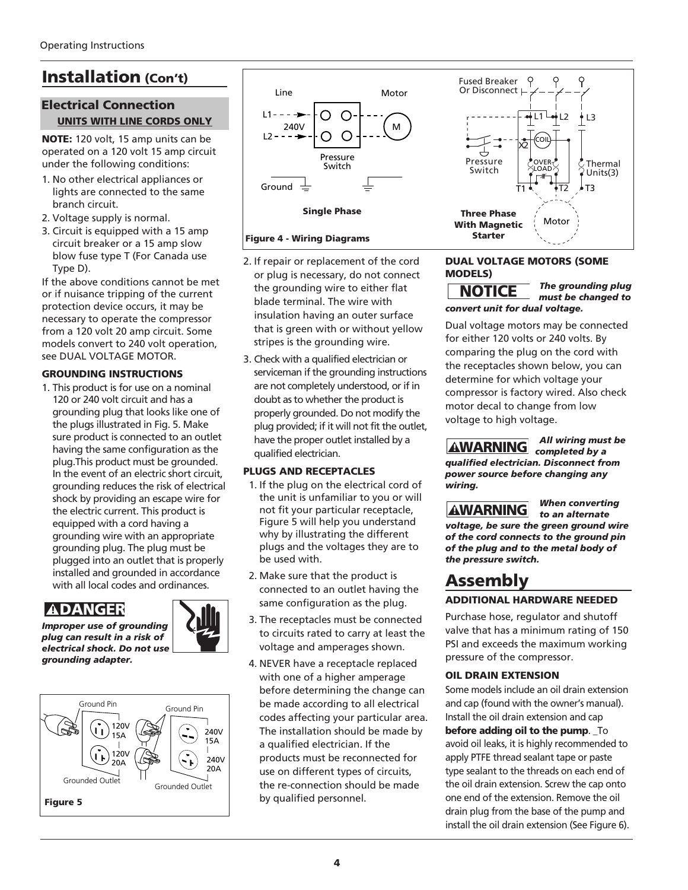## Installation (Con't)

### Electrical Connection UNITS WITH LINE CORDS ONLY

NOTE: 120 volt, 15 amp units can be operated on a 120 volt 15 amp circuit under the following conditions:

- 1. No other electrical appliances or lights are connected to the same branch circuit.
- 2. Voltage supply is normal.
- 3. Circuit is equipped with a 15 amp circuit breaker or a 15 amp slow blow fuse type T (For Canada use Type D).

If the above conditions cannot be met or if nuisance tripping of the current protection device occurs, it may be necessary to operate the compressor from a 120 volt 20 amp circuit. Some models convert to 240 volt operation, see DUAL VOLTAGE MOTOR.

#### GROUNDING INSTRUCTIONS

1. This product is for use on a nominal 120 or 240 volt circuit and has a grounding plug that looks like one of the plugs illustrated in Fig. 5. Make sure product is connected to an outlet having the same configuration as the plug.This product must be grounded. In the event of an electric short circuit, grounding reduces the risk of electrical shock by providing an escape wire for the electric current. This product is equipped with a cord having a grounding wire with an appropriate grounding plug. The plug must be plugged into an outlet that is properly installed and grounded in accordance with all local codes and ordinances.

### **ADANGER**



*Improper use of grounding plug can result in a risk of electrical shock. Do not use grounding adapter.*





Single Phase

#### Figure 4 - Wiring Diagrams

- 2. If repair or replacement of the cord or plug is necessary, do not connect the grounding wire to either flat blade terminal. The wire with insulation having an outer surface that is green with or without yellow stripes is the grounding wire.
- 3. Check with a qualified electrician or serviceman if the grounding instructions are not completely understood, or if in doubt as to whether the product is properly grounded. Do not modify the plug provided; if it will not fit the outlet, have the proper outlet installed by a qualified electrician.

#### PLUGS AND RECEPTACLES

- 1. If the plug on the electrical cord of the unit is unfamiliar to you or will not fit your particular receptacle, Figure 5 will help you understand why by illustrating the different plugs and the voltages they are to be used with.
- 2. Make sure that the product is connected to an outlet having the same configuration as the plug.
- 3. The receptacles must be connected to circuits rated to carry at least the voltage and amperages shown.
- 4. NEVER have a receptacle replaced with one of a higher amperage before determining the change can be made according to all electrical codes affecting your particular area. The installation should be made by a qualified electrician. If the products must be reconnected for use on different types of circuits, the re-connection should be made by qualified personnel.



#### DUAL VOLTAGE MOTORS (SOME MODELS)

*The grounding plug must be changed to convert unit for dual voltage.*

Dual voltage motors may be connected for either 120 volts or 240 volts. By comparing the plug on the cord with the receptacles shown below, you can determine for which voltage your compressor is factory wired. Also check motor decal to change from low voltage to high voltage. **NOTICE**<br>
powert unit for d<br>
ual voltage motor<br>
or either 120 volt<br>
be receptacles sh<br>
etermine for wh<br>
bompressor is fact<br>
otor decal to ch<br>
bltage to high vo<br> **AWARNING**<br>
ualified electricies<br>
wer source beficing.<br>
AWARN

*All wiring must be completed by a qualified electrician. Disconnect from power source before changing any wiring.*

*to an alternate voltage, be sure the green ground wire of the cord connects to the ground pin of the plug and to the metal body of the pressure switch.*

*When converting* 

### Assembly

#### ADDITIONAL HARDWARE NEEDED

Purchase hose, regulator and shutoff valve that has a minimum rating of 150 PSI and exceeds the maximum working pressure of the compressor.

#### OIL DRAIN EXTENSION

Some models include an oil drain extension and cap (found with the owner's manual). Install the oil drain extension and cap

#### before adding oil to the pump. \_To

avoid oil leaks, it is highly recommended to apply PTFE thread sealant tape or paste type sealant to the threads on each end of the oil drain extension. Screw the cap onto one end of the extension. Remove the oil drain plug from the base of the pump and install the oil drain extension (See Figure 6).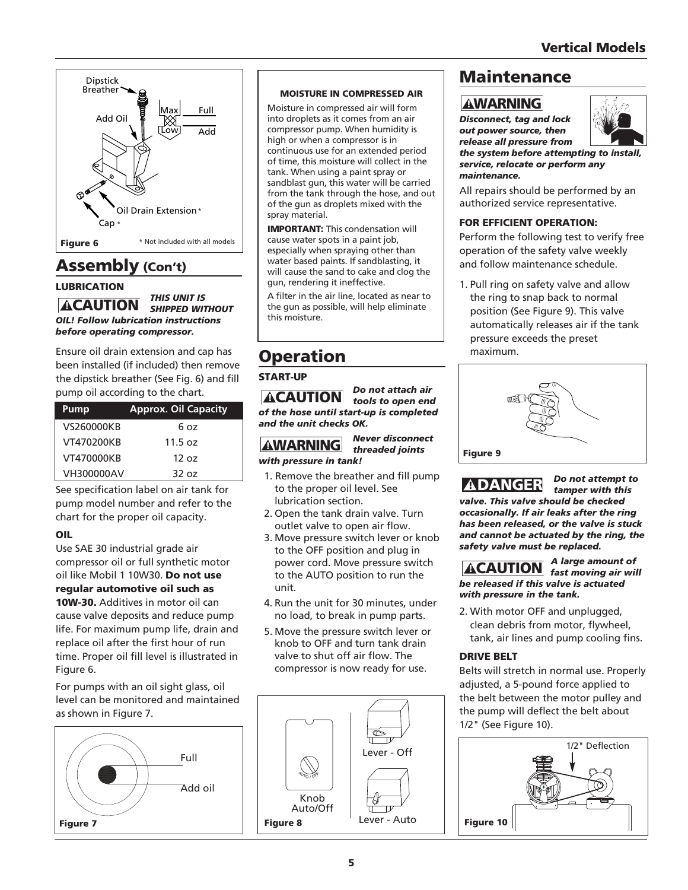

### Assembly (Con't)

#### LUBRICATION

*THIS UNIT IS* **ACAUTION** SHIPPED WITHOUT *OIL! Follow lubrication instructions before operating compressor.*

Ensure oil drain extension and cap has been installed (if included) then remove the dipstick breather (See Fig. 6) and fill pump oil according to the chart.

| <b>ACAUTION</b>     | pump oil according to the chart. |                   |
|---------------------|----------------------------------|-------------------|
| of the hose until s | <b>Approx. Oil Capacity</b>      | Pump              |
| and the unit check  | 6 oz                             | VS260000KB        |
| <b>AWARNING</b>     | 11.5 oz                          | VT470200KB        |
| with pressure in t  | 12 oz                            | VT470000KB        |
| 1. Remove the bi    | 32 oz                            | <b>VH300000AV</b> |

See specification label on air tank for pump model number and refer to the chart for the proper oil capacity.

#### OIL

Use SAE 30 industrial grade air compressor oil or full synthetic motor oil like Mobil 1 10W30. Do not use regular automotive oil such as

10W-30. Additives in motor oil can cause valve deposits and reduce pump life. For maximum pump life, drain and replace oil after the first hour of run time. Proper oil fill level is illustrated in Figure 6.

For pumps with an oil sight glass, oil level can be monitored and maintained as shown in Figure 7.



#### MOISTURE IN COMPRESSED AIR

Moisture in compressed air will form into droplets as it comes from an air compressor pump. When humidity is high or when a compressor is in continuous use for an extended period of time, this moisture will collect in the tank. When using a paint spray or sandblast gun, this water will be carried from the tank through the hose, and out of the gun as droplets mixed with the spray material.

IMPORTANT: This condensation will cause water spots in a paint job, especially when spraying other than water based paints. If sandblasting, it will cause the sand to cake and clog the gun, rendering it ineffective.

A filter in the air line, located as near to the gun as possible, will help eliminate this moisture.

## Operation

#### START-UP

*Do not attach air tools to open end of the hose until start-up is completed and the unit checks OK.*

#### *Never disconnect threaded joints with pressure in tank!*

- 1. Remove the breather and fill pump to the proper oil level. See lubrication section.
- 2. Open the tank drain valve. Turn outlet valve to open air flow.
- 3. Move pressure switch lever or knob to the OFF position and plug in power cord. Move pressure switch to the AUTO position to run the unit.
- 4. Run the unit for 30 minutes, under no load, to break in pump parts.
- 5. Move the pressure switch lever or knob to OFF and turn tank drain valve to shut off air flow. The compressor is now ready for use.



### Maintenance

### **AWARNING**

*Disconnect, tag and lock out power source, then release all pressure from*



*the system before attempting to install, service, relocate or perform any maintenance.*

All repairs should be performed by an authorized service representative.

#### FOR EFFICIENT OPERATION:

Perform the following test to verify free operation of the safety valve weekly and follow maintenance schedule.

1. Pull ring on safety valve and allow the ring to snap back to normal position (See Figure 9). This valve automatically releases air if the tank pressure exceeds the preset maximum.



*Do not attempt to*  **ADANGER** *tamper with this valve. This valve should be checked occasionally. If air leaks after the ring has been released, or the valve is stuck and cannot be actuated by the ring, the safety valve must be replaced.*

*A large amount of* **ACAUTION** *fast moving air will be released if this valve is actuated with pressure in the tank.*

2. With motor OFF and unplugged, clean debris from motor, flywheel, tank, air lines and pump cooling fins.

#### DRIVE BELT

Belts will stretch in normal use. Properly adjusted, a 5-pound force applied to the belt between the motor pulley and the pump will deflect the belt about 1/2" (See Figure 10).

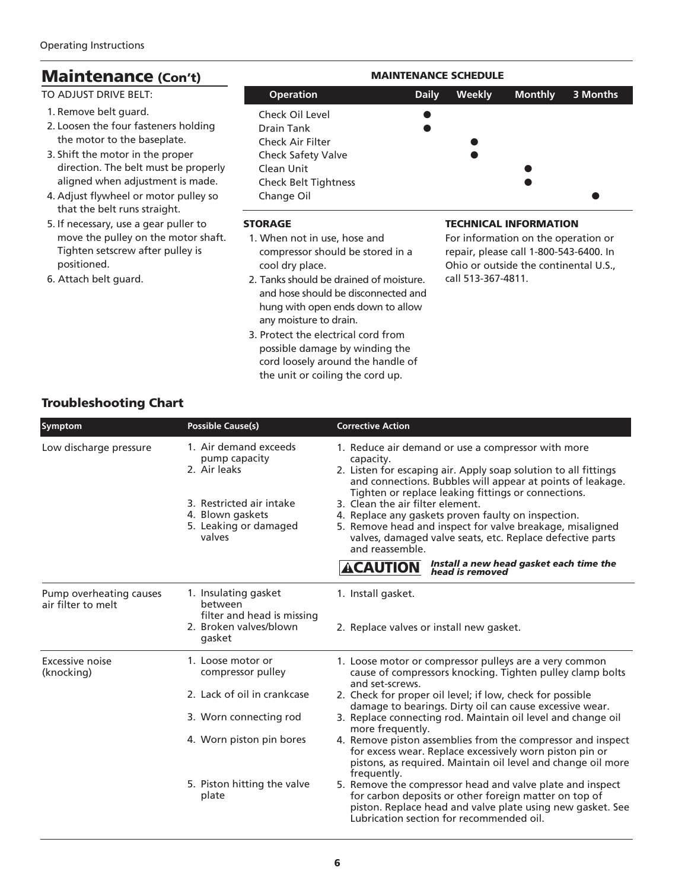| <b>Maintenance (Con't)</b>                                                                                                                                                                                                                            | <b>MAINTENANCE SCHEDULE</b>                                                                                                               |              |               |                                                                                                               |          |
|-------------------------------------------------------------------------------------------------------------------------------------------------------------------------------------------------------------------------------------------------------|-------------------------------------------------------------------------------------------------------------------------------------------|--------------|---------------|---------------------------------------------------------------------------------------------------------------|----------|
| TO ADJUST DRIVE BELT:                                                                                                                                                                                                                                 | <b>Operation</b>                                                                                                                          | <b>Daily</b> | <b>Weekly</b> | <b>Monthly</b>                                                                                                | 3 Months |
| 1. Remove belt guard.<br>2. Loosen the four fasteners holding<br>the motor to the baseplate.<br>3. Shift the motor in the proper<br>direction. The belt must be properly<br>aligned when adjustment is made.<br>4. Adjust flywheel or motor pulley so | Check Oil Level<br>Drain Tank<br>Check Air Filter<br><b>Check Safety Valve</b><br>Clean Unit<br><b>Check Belt Tightness</b><br>Change Oil |              |               |                                                                                                               |          |
| that the belt runs straight.<br>5. If necessary, use a gear puller to<br>move the pulley on the motor shaft.<br>Tighten setscrew after pulley is                                                                                                      | <b>STORAGE</b><br>1. When not in use, hose and<br>compressor should be stored in a                                                        |              |               | <b>TECHNICAL INFORMATION</b><br>For information on the operation or<br>repair, please call 1-800-543-6400. In |          |

positioned. 6. Attach belt guard.

- compressor should be stored in a cool dry place.
- 2. Tanks should be drained of moisture. and hose should be disconnected and hung with open ends down to allow any moisture to drain.
- 3. Protect the electrical cord from possible damage by winding the cord loosely around the handle of the unit or coiling the cord up.

repair, please call 1-800-543-6400. In Ohio or outside the continental U.S., call 513-367-4811.

### Troubleshooting Chart

| Symptom                                       | <b>Possible Cause(s)</b>                                                                                                                  | <b>Corrective Action</b>                                                                                                                                                                                                                                                                                                                                                                                                                                                                        |
|-----------------------------------------------|-------------------------------------------------------------------------------------------------------------------------------------------|-------------------------------------------------------------------------------------------------------------------------------------------------------------------------------------------------------------------------------------------------------------------------------------------------------------------------------------------------------------------------------------------------------------------------------------------------------------------------------------------------|
| Low discharge pressure                        | 1. Air demand exceeds<br>pump capacity<br>2. Air leaks<br>3. Restricted air intake<br>4. Blown gaskets<br>5. Leaking or damaged<br>valves | 1. Reduce air demand or use a compressor with more<br>capacity.<br>2. Listen for escaping air. Apply soap solution to all fittings<br>and connections. Bubbles will appear at points of leakage.<br>Tighten or replace leaking fittings or connections.<br>3. Clean the air filter element.<br>4. Replace any gaskets proven faulty on inspection.<br>5. Remove head and inspect for valve breakage, misaligned<br>valves, damaged valve seats, etc. Replace defective parts<br>and reassemble. |
|                                               |                                                                                                                                           | Install a new head gasket each time the<br>head is removed<br><b>ACAUTION</b>                                                                                                                                                                                                                                                                                                                                                                                                                   |
| Pump overheating causes<br>air filter to melt | 1. Insulating gasket<br>between<br>filter and head is missing                                                                             | 1. Install gasket.                                                                                                                                                                                                                                                                                                                                                                                                                                                                              |
|                                               | 2. Broken valves/blown<br>gasket                                                                                                          | 2. Replace valves or install new gasket.                                                                                                                                                                                                                                                                                                                                                                                                                                                        |
| Excessive noise<br>(knocking)                 | 1. Loose motor or<br>compressor pulley                                                                                                    | 1. Loose motor or compressor pulleys are a very common<br>cause of compressors knocking. Tighten pulley clamp bolts<br>and set-screws.                                                                                                                                                                                                                                                                                                                                                          |
|                                               | 2. Lack of oil in crankcase                                                                                                               | 2. Check for proper oil level; if low, check for possible<br>damage to bearings. Dirty oil can cause excessive wear.                                                                                                                                                                                                                                                                                                                                                                            |
|                                               | 3. Worn connecting rod                                                                                                                    | 3. Replace connecting rod. Maintain oil level and change oil<br>more frequently.                                                                                                                                                                                                                                                                                                                                                                                                                |
|                                               | 4. Worn piston pin bores                                                                                                                  | 4. Remove piston assemblies from the compressor and inspect<br>for excess wear. Replace excessively worn piston pin or<br>pistons, as required. Maintain oil level and change oil more<br>frequently.                                                                                                                                                                                                                                                                                           |
|                                               | 5. Piston hitting the valve<br>plate                                                                                                      | 5. Remove the compressor head and valve plate and inspect<br>for carbon deposits or other foreign matter on top of<br>piston. Replace head and valve plate using new gasket. See<br>Lubrication section for recommended oil.                                                                                                                                                                                                                                                                    |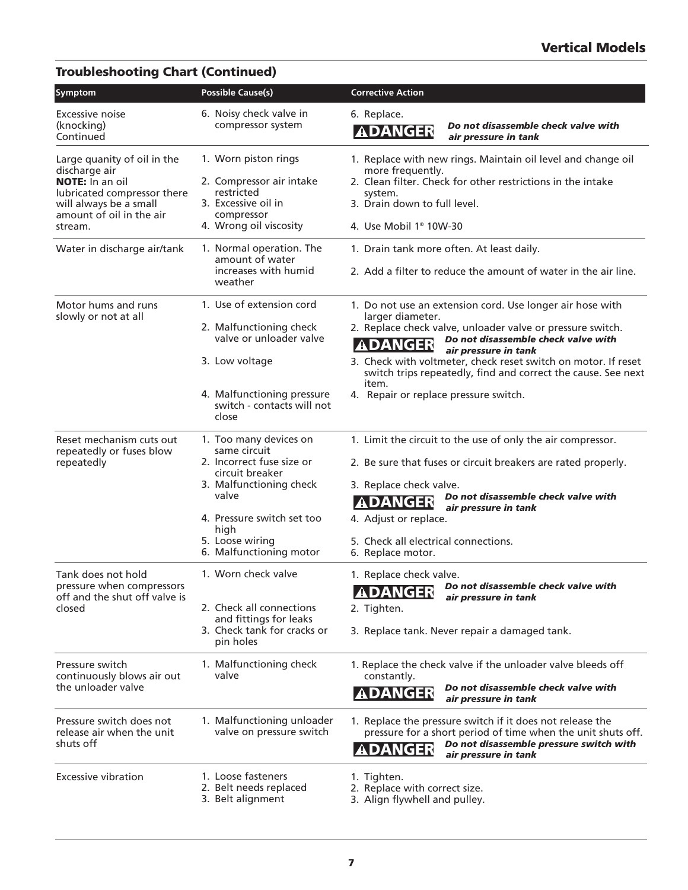### Troubleshooting Chart (Continued)

| Symptom                                                                                                                                                                | <b>Possible Cause(s)</b>                                                                                                                                                                                       | <b>Corrective Action</b>                                                                                                                                                                                                                                                                                                                                                                                          |
|------------------------------------------------------------------------------------------------------------------------------------------------------------------------|----------------------------------------------------------------------------------------------------------------------------------------------------------------------------------------------------------------|-------------------------------------------------------------------------------------------------------------------------------------------------------------------------------------------------------------------------------------------------------------------------------------------------------------------------------------------------------------------------------------------------------------------|
| Excessive noise<br>(knocking)<br>Continued                                                                                                                             | 6. Noisy check valve in<br>compressor system                                                                                                                                                                   | 6. Replace.<br>Do not disassemble check valve with<br><b>ADANGER</b><br>air pressure in tank                                                                                                                                                                                                                                                                                                                      |
| Large quanity of oil in the<br>discharge air<br><b>NOTE:</b> In an oil<br>lubricated compressor there<br>will always be a small<br>amount of oil in the air<br>stream. | 1. Worn piston rings<br>2. Compressor air intake<br>restricted<br>3. Excessive oil in<br>compressor<br>4. Wrong oil viscosity                                                                                  | 1. Replace with new rings. Maintain oil level and change oil<br>more frequently.<br>2. Clean filter. Check for other restrictions in the intake<br>system.<br>3. Drain down to full level.<br>4. Use Mobil 1® 10W-30                                                                                                                                                                                              |
| Water in discharge air/tank                                                                                                                                            | 1. Normal operation. The<br>amount of water<br>increases with humid<br>weather                                                                                                                                 | 1. Drain tank more often. At least daily.<br>2. Add a filter to reduce the amount of water in the air line.                                                                                                                                                                                                                                                                                                       |
| Motor hums and runs<br>slowly or not at all                                                                                                                            | 1. Use of extension cord<br>2. Malfunctioning check<br>valve or unloader valve<br>3. Low voltage<br>4. Malfunctioning pressure<br>switch - contacts will not<br>close                                          | 1. Do not use an extension cord. Use longer air hose with<br>larger diameter.<br>2. Replace check valve, unloader valve or pressure switch.<br>Do not disassemble check valve with<br><b>ADANGER</b><br>air pressure in tank<br>3. Check with voltmeter, check reset switch on motor. If reset<br>switch trips repeatedly, find and correct the cause. See next<br>item.<br>4. Repair or replace pressure switch. |
| Reset mechanism cuts out<br>repeatedly or fuses blow<br>repeatedly                                                                                                     | 1. Too many devices on<br>same circuit<br>2. Incorrect fuse size or<br>circuit breaker<br>3. Malfunctioning check<br>valve<br>4. Pressure switch set too<br>high<br>5. Loose wiring<br>6. Malfunctioning motor | 1. Limit the circuit to the use of only the air compressor.<br>2. Be sure that fuses or circuit breakers are rated properly.<br>3. Replace check valve.<br>Do not disassemble check valve with<br>ANGER<br>air pressure in tank<br>4. Adjust or replace.<br>5. Check all electrical connections.<br>6. Replace motor.                                                                                             |
| Tank does not hold<br>pressure when compressors<br>off and the shut off valve is<br>closed                                                                             | 1. Worn check valve<br>2. Check all connections<br>and fittings for leaks<br>3. Check tank for cracks or<br>pin holes                                                                                          | 1. Replace check valve.<br><b>ADANGER</b> Do not disassemble check valve with<br>air pressure in tank<br>2. Tighten.<br>3. Replace tank. Never repair a damaged tank.                                                                                                                                                                                                                                             |
| Pressure switch<br>continuously blows air out<br>the unloader valve                                                                                                    | 1. Malfunctioning check<br>valve                                                                                                                                                                               | 1. Replace the check valve if the unloader valve bleeds off<br>constantly.<br>Do not disassemble check valve with<br><b>ADANGER</b><br>air pressure in tank                                                                                                                                                                                                                                                       |
| Pressure switch does not<br>release air when the unit<br>shuts off                                                                                                     | 1. Malfunctioning unloader<br>valve on pressure switch                                                                                                                                                         | 1. Replace the pressure switch if it does not release the<br>pressure for a short period of time when the unit shuts off.<br>Do not disassemble pressure switch with<br><b>ADANGER</b><br>air pressure in tank                                                                                                                                                                                                    |
| <b>Excessive vibration</b>                                                                                                                                             | 1. Loose fasteners<br>2. Belt needs replaced<br>3. Belt alignment                                                                                                                                              | 1. Tighten.<br>2. Replace with correct size.<br>3. Align flywhell and pulley.                                                                                                                                                                                                                                                                                                                                     |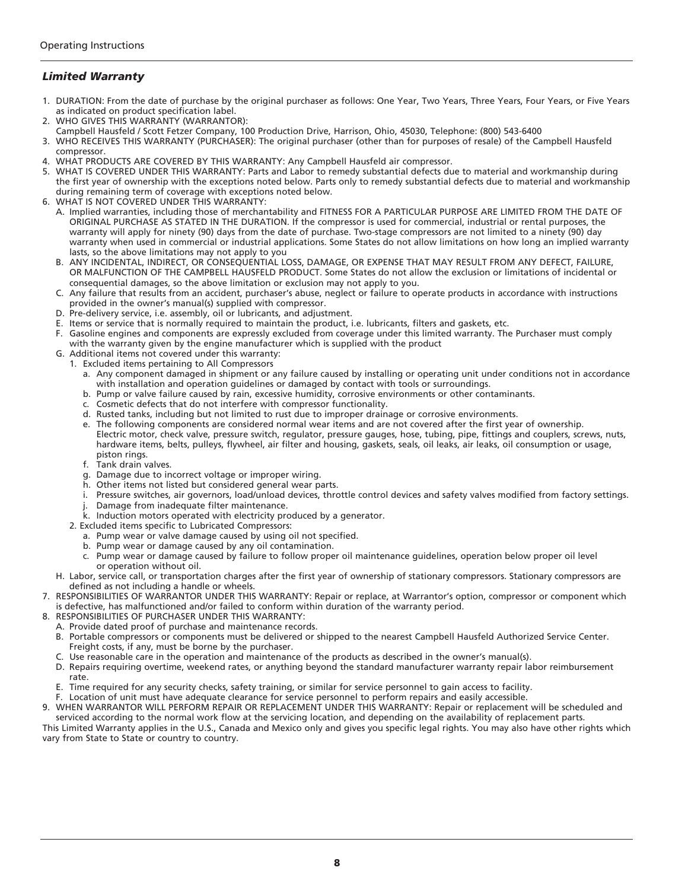#### *Limited Warranty*

- 1. DURATION: From the date of purchase by the original purchaser as follows: One Year, Two Years, Three Years, Four Years, or Five Years as indicated on product specification label.
- 2. WHO GIVES THIS WARRANTY (WARRANTOR):
- Campbell Hausfeld / Scott Fetzer Company, 100 Production Drive, Harrison, Ohio, 45030, Telephone: (800) 543-6400
- 3. WHO RECEIVES THIS WARRANTY (PURCHASER): The original purchaser (other than for purposes of resale) of the Campbell Hausfeld compressor.
- 4. WHAT PRODUCTS ARE COVERED BY THIS WARRANTY: Any Campbell Hausfeld air compressor.
- 5. WHAT IS COVERED UNDER THIS WARRANTY: Parts and Labor to remedy substantial defects due to material and workmanship during the first year of ownership with the exceptions noted below. Parts only to remedy substantial defects due to material and workmanship during remaining term of coverage with exceptions noted below.
- 6. WHAT IS NOT COVERED UNDER THIS WARRANTY:
	- A. Implied warranties, including those of merchantability and FITNESS FOR A PARTICULAR PURPOSE ARE LIMITED FROM THE DATE OF ORIGINAL PURCHASE AS STATED IN THE DURATION. If the compressor is used for commercial, industrial or rental purposes, the warranty will apply for ninety (90) days from the date of purchase. Two-stage compressors are not limited to a ninety (90) day warranty when used in commercial or industrial applications. Some States do not allow limitations on how long an implied warranty lasts, so the above limitations may not apply to you
	- B. ANY INCIDENTAL, INDIRECT, OR CONSEQUENTIAL LOSS, DAMAGE, OR EXPENSE THAT MAY RESULT FROM ANY DEFECT, FAILURE, OR MALFUNCTION OF THE CAMPBELL HAUSFELD PRODUCT. Some States do not allow the exclusion or limitations of incidental or consequential damages, so the above limitation or exclusion may not apply to you.
	- C. Any failure that results from an accident, purchaser's abuse, neglect or failure to operate products in accordance with instructions provided in the owner's manual(s) supplied with compressor.
	- D. Pre-delivery service, i.e. assembly, oil or lubricants, and adjustment.
	- E. Items or service that is normally required to maintain the product, i.e. lubricants, filters and gaskets, etc.
	- F. Gasoline engines and components are expressly excluded from coverage under this limited warranty. The Purchaser must comply with the warranty given by the engine manufacturer which is supplied with the product
	- G. Additional items not covered under this warranty: 1. Excluded items pertaining to All Compressors
		- Any component damaged in shipment or any failure caused by installing or operating unit under conditions not in accordance with installation and operation guidelines or damaged by contact with tools or surroundings.
		- b. Pump or valve failure caused by rain, excessive humidity, corrosive environments or other contaminants.
		- c. Cosmetic defects that do not interfere with compressor functionality.
		- d. Rusted tanks, including but not limited to rust due to improper drainage or corrosive environments.
		- e. The following components are considered normal wear items and are not covered after the first year of ownership. Electric motor, check valve, pressure switch, regulator, pressure gauges, hose, tubing, pipe, fittings and couplers, screws, nuts, hardware items, belts, pulleys, flywheel, air filter and housing, gaskets, seals, oil leaks, air leaks, oil consumption or usage, piston rings.
		- f. Tank drain valves.
		- g. Damage due to incorrect voltage or improper wiring.
		- h. Other items not listed but considered general wear parts.
		- i. Pressure switches, air governors, load/unload devices, throttle control devices and safety valves modified from factory settings.
		- j. Damage from inadequate filter maintenance.
		- k. Induction motors operated with electricity produced by a generator.
		- 2. Excluded items specific to Lubricated Compressors:
			- a. Pump wear or valve damage caused by using oil not specified.
			- b. Pump wear or damage caused by any oil contamination.
			- c. Pump wear or damage caused by failure to follow proper oil maintenance guidelines, operation below proper oil level or operation without oil.
	- H. Labor, service call, or transportation charges after the first year of ownership of stationary compressors. Stationary compressors are defined as not including a handle or wheels.
- 7. RESPONSIBILITIES OF WARRANTOR UNDER THIS WARRANTY: Repair or replace, at Warrantor's option, compressor or component which is defective, has malfunctioned and/or failed to conform within duration of the warranty period.
- 8. RESPONSIBILITIES OF PURCHASER UNDER THIS WARRANTY:
	- A. Provide dated proof of purchase and maintenance records. B. Portable compressors or components must be delivered or shipped to the nearest Campbell Hausfeld Authorized Service Center. Freight costs, if any, must be borne by the purchaser.
	- C. Use reasonable care in the operation and maintenance of the products as described in the owner's manual(s).
	- D. Repairs requiring overtime, weekend rates, or anything beyond the standard manufacturer warranty repair labor reimbursement rate.
	- E. Time required for any security checks, safety training, or similar for service personnel to gain access to facility.
- F. Location of unit must have adequate clearance for service personnel to perform repairs and easily accessible. 9. WHEN WARRANTOR WILL PERFORM REPAIR OR REPLACEMENT UNDER THIS WARRANTY: Repair or replacement will be scheduled and
- serviced according to the normal work flow at the servicing location, and depending on the availability of replacement parts. This Limited Warranty applies in the U.S., Canada and Mexico only and gives you specific legal rights. You may also have other rights which vary from State to State or country to country.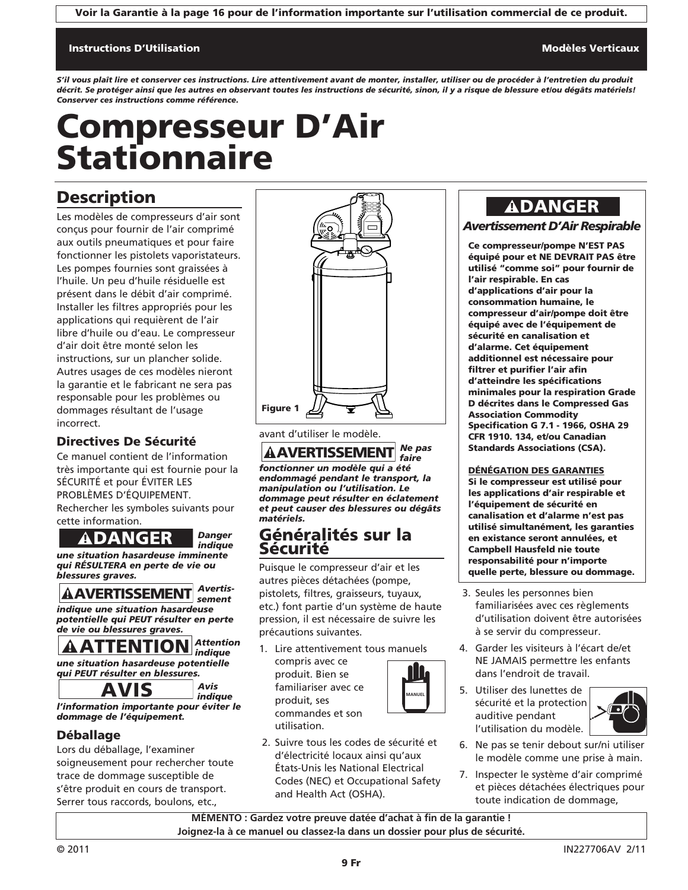Voir la Garantie à la page 16 pour de l'information importante sur l'utilisation commercial de ce produit.

#### Instructions D'Utilisation Modèles Verticaux (Modèles Verticaux Modèles Verticaux Modèles Verticaux Modèles Ve

*S'il vous plaît lire et conserver ces instructions. Lire attentivement avant de monter, installer, utiliser ou de procéder à l'entretien du produit décrit. Se protéger ainsi que les autres en observant toutes les instructions de sécurité, sinon, il y a risque de blessure et/ou dégâts matériels! Conserver ces instructions comme référence.*

# Compresseur D'Air **Stationnaire**

### **Description**

Les modèles de compresseurs d'air sont conçus pour fournir de l'air comprimé aux outils pneumatiques et pour faire fonctionner les pistolets vaporistateurs. Les pompes fournies sont graissées à l'huile. Un peu d'huile résiduelle est présent dans le débit d'air comprimé. Installer les filtres appropriés pour les applications qui requièrent de l'air libre d'huile ou d'eau. Le compresseur d'air doit être monté selon les instructions, sur un plancher solide. Autres usages de ces modèles nieront la garantie et le fabricant ne sera pas responsable pour les problèmes ou dommages résultant de l'usage incorrect.

#### Directives De Sécurité

Ce manuel contient de l'information très importante qui est fournie pour la SÉCURITÉ et pour ÉVITER LES PROBLÈMES D'ÉQUIPEMENT. Rechercher les symboles suivants pour cette information.

#### *Danger indique*

*une situation hasardeuse imminente qui RÉSULTERA en perte de vie ou blessures graves.* **ADANGER**<br> **ADANGER**<br> **ANGER ATTER ASSESSMENT**<br> **ANGERTISSEMENT**<br> **ANGERTISSEMENT**<br> **ANGERTISSEMENT**<br> **ANGERTISSEMENT**<br> **PROPENT FESSMENTION**<br> **ANTENTION**<br> **ANTENTION**<br> **ANGERTION**<br> **ANGERTION** 

#### *Avertissement*

*indique une situation hasardeuse potentielle qui PEUT résulter en perte de vie ou blessures graves.*

#### *Attention indique une situation hasardeuse potentielle*

*qui PEUT résulter en blessures.*

*Avis indique l'information importante pour éviter le dommage de l'équipement.*

### Déballage

Lors du déballage, l'examiner soigneusement pour rechercher toute trace de dommage susceptible de s'être produit en cours de transport. Serrer tous raccords, boulons, etc.,



avant d'utiliser le modèle.

*Ne pas faire fonctionner un modèle qui a été endommagé pendant le transport, la manipulation ou l'utilisation. Le dommage peut résulter en éclatement et peut causer des blessures ou dégâts matériels.* **AAVERTISSEMENT** 

### Généralités sur la Sécurité

Puisque le compresseur d'air et les autres pièces détachées (pompe, pistolets, filtres, graisseurs, tuyaux, etc.) font partie d'un système de haute pression, il est nécessaire de suivre les précautions suivantes.

1. Lire attentivement tous manuels compris avec ce produit. Bien se

familiariser avec ce produit, ses commandes et son

utilisation.



2. Suivre tous les codes de sécurité et d'électricité locaux ainsi qu'aux États-Unis les National Electrical Codes (NEC) et Occupational Safety and Health Act (OSHA).

### **ADANGER**

#### *Avertissement D'Air Respirable*

Ce compresseur/pompe N'EST PAS équipé pour et NE DEVRAIT PAS être utilisé "comme soi" pour fournir de l'air respirable. En cas d'applications d'air pour la consommation humaine, le compresseur d'air/pompe doit être équipé avec de l'équipement de sécurité en canalisation et d'alarme. Cet équipement additionnel est nécessaire pour filtrer et purifier l'air afin d'atteindre les spécifications minimales pour la respiration Grade D décrites dans le Compressed Gas Association Commodity Specification G 7.1 - 1966, OSHA 29 CFR 1910. 134, et/ou Canadian Standards Associations (CSA).

#### DÉNÉGATION DES GARANTIES

Si le compresseur est utilisé pour les applications d'air respirable et l'équipement de sécurité en canalisation et d'alarme n'est pas utilisé simultanément, les garanties en existance seront annulées, et Campbell Hausfeld nie toute responsabilité pour n'importe quelle perte, blessure ou dommage.

- 3. Seules les personnes bien familiarisées avec ces règlements d'utilisation doivent être autorisées à se servir du compresseur.
- 4. Garder les visiteurs à l'écart de/et NE JAMAIS permettre les enfants dans l'endroit de travail.
- 5. Utiliser des lunettes de sécurité et la protection auditive pendant l'utilisation du modèle.



- 6. Ne pas se tenir debout sur/ni utiliser le modèle comme une prise à main.
- 7. Inspecter le système d'air comprimé et pièces détachées électriques pour toute indication de dommage,

**MÉMENTO : Gardez votre preuve datée d'achat à fin de la garantie ! Joignez-la à ce manuel ou classez-la dans un dossier pour plus de sécurité.**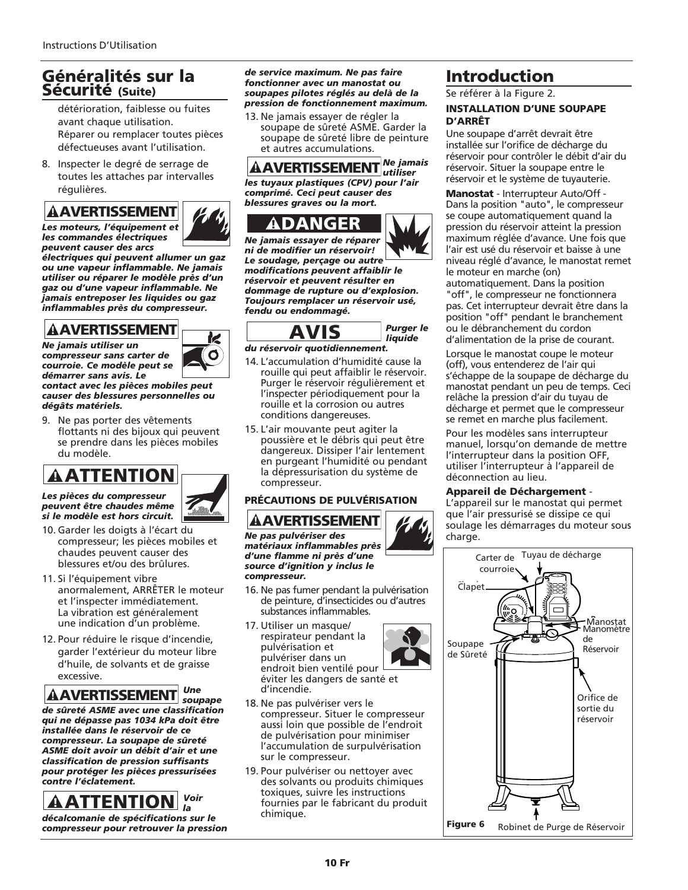### Généralités sur la Sécurité (Suite)

détérioration, faiblesse ou fuites avant chaque utilisation. Réparer ou remplacer toutes pièces défectueuses avant l'utilisation.

8. Inspecter le degré de serrage de toutes les attaches par intervalles régulières.

*Les moteurs, l'équipement et les commandes électriques peuvent causer des arcs*

*électriques qui peuvent allumer un gaz ou une vapeur inflammable. Ne jamais utiliser ou réparer le modèle près d'un gaz ou d'une vapeur inflammable. Ne jamais entreposer les liquides ou gaz inflammables près du compresseur.*

> k O

*Ne jamais utiliser un compresseur sans carter de courroie. Ce modèle peut se démarrer sans avis. Le*

*contact avec les pièces mobiles peut causer des blessures personnelles ou dégâts matériels.*

9. Ne pas porter des vêtements flottants ni des bijoux qui peuvent se prendre dans les pièces mobiles du modèle.

*Les pièces du compresseur peuvent être chaudes même si le modèle est hors circuit.*

- 10. Garder les doigts à l'écart du compresseur; les pièces mobiles et chaudes peuvent causer des blessures et/ou des brûlures.
- 11. Si l'équipement vibre anormalement, ARRÊTER le moteur et l'inspecter immédiatement. La vibration est généralement une indication d'un problème.
- 12. Pour réduire le risque d'incendie, garder l'extérieur du moteur libre d'huile, de solvants et de graisse excessive.

*Une soupape de sûreté ASME avec une classification qui ne dépasse pas 1034 kPa doit être installée dans le réservoir de ce compresseur. La soupape de sûreté ASME doit avoir un débit d'air et une classification de pression suffisants pour protéger les pièces pressurisées contre l'éclatement.* **AAVERTISSEMENT**<br>
So morteurs, l'équipement et<br>
se commandes électriques<br>
se commandes électriques<br>
se convari d'auser des arcs<br>
se entriques qui peuvent allum<br>
illiser ou réparer le modèle<br>
sua d'une vapeur inflammable.<br>

*Voir la*

*décalcomanie de spécifications sur le compresseur pour retrouver la pression*

*de service maximum. Ne pas faire fonctionner avec un manostat ou soupapes pilotes réglés au delà de la pression de fonctionnement maximum.*

13. Ne jamais essayer de régler la soupape de sûreté ASME. Garder la soupape de sûreté libre de peinture et autres accumulations.

*Ne jamais utiliser les tuyaux plastiques (CPV) pour l'air comprimé. Ceci peut causer des blessures graves ou la mort.*



*Ne jamais essayer de réparer ni de modifier un réservoir! Le soudage, perçage ou autre modifications peuvent affaiblir le réservoir et peuvent résulter en dommage de rupture ou d'explosion. Toujours remplacer un réservoir usé, fendu ou endommagé.* ANCERTISSEMENT<br>
s tuyaux plastiques (CPV) p<br>
mprimé. Ceci peut causer de syncessures graves ou la mort.<br>
1. DANCER<br>
e jamais essayer de réparer<br>
de modifier un réservoir!<br>
soudage, perçage ou autrodifications peuvent résul



#### *du réservoir quotidiennement.*

- 14. L'accumulation d'humidité cause la rouille qui peut affaiblir le réservoir. Purger le réservoir régulièrement et l'inspecter périodiquement pour la rouille et la corrosion ou autres conditions dangereuses.
- 15. L'air mouvante peut agiter la poussière et le débris qui peut être dangereux. Dissiper l'air lentement en purgeant l'humidité ou pendant la dépressurisation du système de compresseur.

#### PRÉCAUTIONS DE PULVÉRISATION

*Ne pas pulvériser des matériaux inflammables près d'une flamme ni près d'une source d'ignition y inclus le compresseur.*

- 16. Ne pas fumer pendant la pulvérisation de peinture, d'insecticides ou d'autres substances inflammables.
- 17. Utiliser un masque/ respirateur pendant la pulvérisation et pulvériser dans un endroit bien ventilé pour éviter les dangers de santé et d'incendie.



- 18. Ne pas pulvériser vers le compresseur. Situer le compresseur aussi loin que possible de l'endroit de pulvérisation pour minimiser l'accumulation de surpulvérisation sur le compresseur.
- 19. Pour pulvériser ou nettoyer avec des solvants ou produits chimiques toxiques, suivre les instructions fournies par le fabricant du produit chimique.

### Introduction

Se référer à la Figure 2.

#### INSTALLATION D'UNE SOUPAPE D'ARRÊT

Une soupape d'arrêt devrait être installée sur l'orifice de décharge du réservoir pour contrôler le débit d'air du réservoir. Situer la soupape entre le réservoir et le système de tuyauterie.

Manostat - Interrupteur Auto/Off - Dans la position "auto", le compresseur se coupe automatiquement quand la pression du réservoir atteint la pression maximum réglée d'avance. Une fois que l'air est usé du réservoir et baisse à une niveau réglé d'avance, le manostat remet le moteur en marche (on) automatiquement. Dans la position "off", le compresseur ne fonctionnera pas. Cet interrupteur devrait être dans la position "off" pendant le branchement ou le débranchement du cordon d'alimentation de la prise de courant.

Lorsque le manostat coupe le moteur (off), vous entenderez de l'air qui s'échappe de la soupape de décharge du manostat pendant un peu de temps. Ceci relâche la pression d'air du tuyau de décharge et permet que le compresseur se remet en marche plus facilement.

Pour les modèles sans interrupteur manuel, lorsqu'on demande de mettre l'interrupteur dans la position OFF, utiliser l'interrupteur à l'appareil de déconnection au lieu.

#### Appareil de Déchargement -

L'appareil sur le manostat qui permet que l'air pressurisé se dissipe ce qui soulage les démarrages du moteur sous charge.

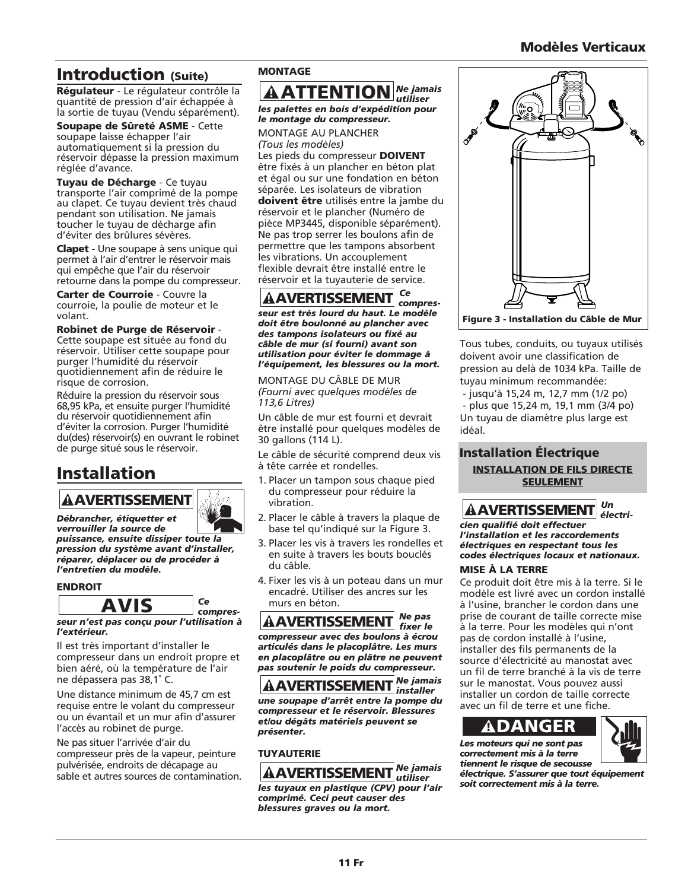### Modèles Verticaux

### Introduction (Suite)

Régulateur - Le régulateur contrôle la quantité de pression d'air échappée à la sortie de tuyau (Vendu séparément).

Soupape de Sûreté ASME - Cette soupape laisse échapper l'air automatiquement si la pression du réservoir dépasse la pression maximum réglée d'avance.

Tuyau de Décharge - Ce tuyau transporte l'air comprimé de la pompe au clapet. Ce tuyau devient très chaud pendant son utilisation. Ne jamais toucher le tuyau de décharge afin d'éviter des brûlures sévères.

Clapet - Une soupape à sens unique qui permet à l'air d'entrer le réservoir mais qui empêche que l'air du réservoir retourne dans la pompe du compresseur.

Carter de Courroie - Couvre la courroie, la poulie de moteur et le volant.

#### Robinet de Purge de Réservoir -

Cette soupape est située au fond du réservoir. Utiliser cette soupape pour purger l'humidité du réservoir quotidiennement afin de réduire le risque de corrosion.

Réduire la pression du réservoir sous 68,95 kPa, et ensuite purger l'humidité du réservoir quotidiennement afin d'éviter la corrosion. Purger l'humidité du(des) réservoir(s) en ouvrant le robinet de purge situé sous le réservoir.

### Installation

# *Débrancher, étiquetter et*

*verrouiller la source de puissance, ensuite dissiper toute la pression du système avant d'installer, réparer, déplacer ou de procéder à l'entretien du modèle.* **AAVERTISSEMENT**<br>
Débrancher, étiquetter et<br>
verrouiller la source de<br>
vuissance, ensuite dissiper to<br>
virssion du système avant d'<br>
éparer, déplacer ou de proce<br>
(entretien du modèle.<br>
ENDROIT<br>
AVIS

#### ENDROIT



*l'extérieur.*

Il est très important d'installer le compresseur dans un endroit propre et bien aéré, où la température de l'air ne dépassera pas 38,1˚ C.

Une distance minimum de 45,7 cm est requise entre le volant du compresseur ou un évantail et un mur afin d'assurer l'accès au robinet de purge.

Ne pas situer l'arrivée d'air du compresseur près de la vapeur, peinture pulvérisée, endroits de décapage au sable et autres sources de contamination.

#### MONTAGE

#### **AATTENTION** *Ne jamais utiliser les palettes en bois d'expédition pour le montage du compresseur.*

MONTAGE AU PLANCHER *(Tous les modèles)*

Les pieds du compresseur DOIVENT être fixés à un plancher en béton plat et égal ou sur une fondation en béton séparée. Les isolateurs de vibration doivent être utilisés entre la jambe du réservoir et le plancher (Numéro de pièce MP3445, disponible séparément). Ne pas trop serrer les boulons afin de permettre que les tampons absorbent les vibrations. Un accouplement flexible devrait être installé entre le réservoir et la tuyauterie de service. **EXERCT SERVALUS AND SERVALUS SPACE AND SPACE AND PLANCHER ONITAGE AU PLANCHER SPACE AU PLANCHER SS pieds du compresseur DC (SPACE AU PLANCHER SS pieds du compresseur DC égal ou sur une fondation parée. Les isolateurs de v** 

#### *Ce compres-*

*seur est très lourd du haut. Le modèle doit être boulonné au plancher avec des tampons isolateurs ou fixé au câble de mur (si fourni) avant son utilisation pour éviter le dommage à l'équipement, les blessures ou la mort.*

MONTAGE DU CÂBLE DE MUR *(Fourni avec quelques modèles de 113,6 Litres)*

Un câble de mur est fourni et devrait être installé pour quelques modèles de 30 gallons (114 L).

Le câble de sécurité comprend deux vis à tête carrée et rondelles.

- 1. Placer un tampon sous chaque pied du compresseur pour réduire la vibration.
- 2. Placer le câble à travers la plaque de base tel qu'indiqué sur la Figure 3.
- 3. Placer les vis à travers les rondelles et en suite à travers les bouts bouclés du câble.
- 4. Fixer les vis à un poteau dans un mur encadré. Utiliser des ancres sur les murs en béton.

*Ne pas fixer le compresseur avec des boulons à écrou articulés dans le placoplâtre. Les murs en placoplâtre ou en plâtre ne peuvent pas soutenir le poids du compresseur.*

*Ne jamais installer une soupape d'arrêt entre la pompe du compresseur et le réservoir. Blessures et/ou dégâts matériels peuvent se présenter.*

#### TUYAUTERIE

#### *Ne jamais utiliser*

*les tuyaux en plastique (CPV) pour l'air comprimé. Ceci peut causer des blessures graves ou la mort.*



Tous tubes, conduits, ou tuyaux utilisés doivent avoir une classification de pression au delà de 1034 kPa. Taille de tuyau minimum recommandée:

- jusqu'à 15,24 m, 12,7 mm (1/2 po) - plus que 15,24 m, 19,1 mm (3/4 po) Un tuyau de diamètre plus large est idéal.

#### Installation Électrique INSTALLATION DE FILS DIRECTE **SEULEMENT**

*Un électri-*

*cien qualifié doit effectuer l'installation et les raccordements électriques en respectant tous les codes électriques locaux et nationaux.*

#### MISE À LA TERRE

Ce produit doit être mis à la terre. Si le modèle est livré avec un cordon installé à l'usine, brancher le cordon dans une prise de courant de taille correcte mise à la terre. Pour les modèles qui n'ont pas de cordon installé à l'usine, installer des fils permanents de la source d'électricité au manostat avec un fil de terre branché à la vis de terre sur le manostat. Vous pouvez aussi installer un cordon de taille correcte avec un fil de terre et une fiche. **AAVERTISSEMENT**<br> **AAVERTISSEMENT**<br> **Constant Explores the CONT CONT CONTINGLATE CONTING AND AND SET A LA TERRE**<br> **EXPLOSE A LA TERRE**<br> **EXPLOSE A LA TERRE**<br> **EXPLOSE A LA TERRE**<br> **EXPLOSE A LA TERRE**<br> **EXPLOSE A LA TERRE** 



*Les moteurs qui ne sont pas correctement mis à la terre tiennent le risque de secousse électrique. S'assurer que tout équipement soit correctement mis à la terre.*

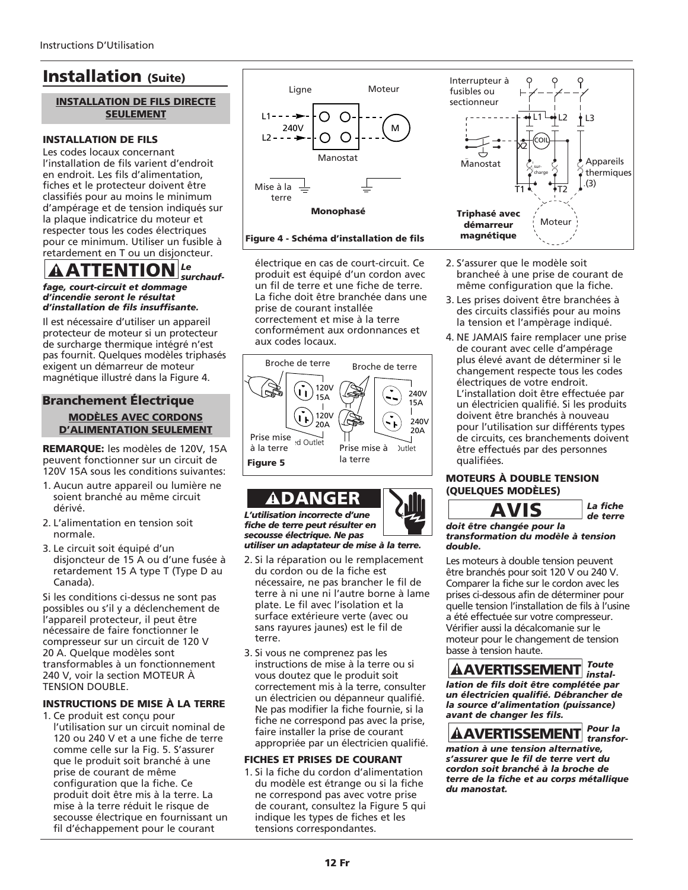### Installation (Suite)

## INSTALLATION DE FILS DIRECTE

#### INSTALLATION DE FILS

Les codes locaux concernant l'installation de fils varient d'endroit en endroit. Les fils d'alimentation, fiches et le protecteur doivent être classifiés pour au moins le minimum d'ampérage et de tension indiqués sur la plaque indicatrice du moteur et respecter tous les codes électriques pour ce minimum. Utiliser un fusible à retardement en T ou un disjoncteur.

#### *Le surchauf-*ATTENTIO

*fage, court-circuit et dommage d'incendie seront le résultat d'installation de fils insuffisante.*

Il est nécessaire d'utiliser un appareil protecteur de moteur si un protecteur de surcharge thermique intégré n'est pas fournit. Quelques modèles triphasés exigent un démarreur de moteur magnétique illustré dans la Figure 4.

#### Branchement Électrique MODÈLES AVEC CORDONS D'ALIMENTATION SEULEMENT

REMARQUE: les modèles de 120V, 15A peuvent fonctionner sur un circuit de 120V 15A sous les conditions suivantes:

- 1. Aucun autre appareil ou lumière ne soient branché au même circuit dérivé.
- 2. L'alimentation en tension soit normale.
- 3. Le circuit soit équipé d'un disjoncteur de 15 A ou d'une fusée à retardement 15 A type T (Type D au Canada).

Si les conditions ci-dessus ne sont pas possibles ou s'il y a déclenchement de l'appareil protecteur, il peut être nécessaire de faire fonctionner le compresseur sur un circuit de 120 V 20 A. Quelque modèles sont transformables à un fonctionnement 240 V, voir la section MOTEUR À TENSION DOUBLE.

#### INSTRUCTIONS DE MISE À LA TERRE

- 1. Ce produit est conçu pour
- l'utilisation sur un circuit nominal de 120 ou 240 V et a une fiche de terre comme celle sur la Fig. 5. S'assurer que le produit soit branché à une prise de courant de même configuration que la fiche. Ce produit doit être mis à la terre. La mise à la terre réduit le risque de secousse électrique en fournissant un fil d'échappement pour le courant





électrique en cas de court-circuit. Ce produit est équipé d'un cordon avec un fil de terre et une fiche de terre. La fiche doit être branchée dans une prise de courant installée correctement et mise à la terre conformément aux ordonnances et aux codes locaux.



*L'utilisation incorrecte d'une fiche de terre peut résulter en secousse électrique. Ne pas utiliser un adaptateur de mise à la terre.* ! DANGER

- 2. Si la réparation ou le remplacement du cordon ou de la fiche est nécessaire, ne pas brancher le fil de terre à ni une ni l'autre borne à lame plate. Le fil avec l'isolation et la surface extérieure verte (avec ou sans rayures jaunes) est le fil de terre.
- 3. Si vous ne comprenez pas les instructions de mise à la terre ou si vous doutez que le produit soit correctement mis à la terre, consulter un électricien ou dépanneur qualifié. Ne pas modifier la fiche fournie, si la fiche ne correspond pas avec la prise, faire installer la prise de courant appropriée par un électricien qualifié.

#### FICHES ET PRISES DE COURANT

1. Si la fiche du cordon d'alimentation du modèle est étrange ou si la fiche ne correspond pas avec votre prise de courant, consultez la Figure 5 qui indique les types de fiches et les tensions correspondantes.



- 2. S'assurer que le modèle soit brancheé à une prise de courant de même configuration que la fiche.
- 3. Les prises doivent être branchées à des circuits classifiés pour au moins la tension et l'ampèrage indiqué.
- 4. NE JAMAIS faire remplacer une prise de courant avec celle d'ampérage plus élevé avant de déterminer si le changement respecte tous les codes électriques de votre endroit. L'installation doit être effectuée par un électricien qualifié. Si les produits doivent être branchés à nouveau pour l'utilisation sur différents types de circuits, ces branchements doivent être effectués par des personnes qualifiées.

#### MOTEURS À DOUBLE TENSION (QUELQUES MODÈLES)



*doit être changée pour la transformation du modèle à tension double.*

Les moteurs à double tension peuvent être branchés pour soit 120 V ou 240 V. Comparer la fiche sur le cordon avec les prises ci-dessous afin de déterminer pour quelle tension l'installation de fils à l'usine a été effectuée sur votre compresseur. Vérifier aussi la décalcomanie sur le moteur pour le changement de tension basse à tension haute. **Example 18 AVIS**<br>
Dit être changée pour la<br>
ansformation du modèle à<br>
simoteurs à double tension p<br>
re branchés pour soit 120 V c<br>
omparer la fiche sur le cordor<br>
sies ci-dessous afin de détern<br>
selle tension l'installati

*Toute installation de fils doit être complétée par un électricien qualifié. Débrancher de la source d'alimentation (puissance) avant de changer les fils.*

*Pour la transformation à une tension alternative, s'assurer que le fil de terre vert du cordon soit branché à la broche de terre de la fiche et au corps métallique du manostat.*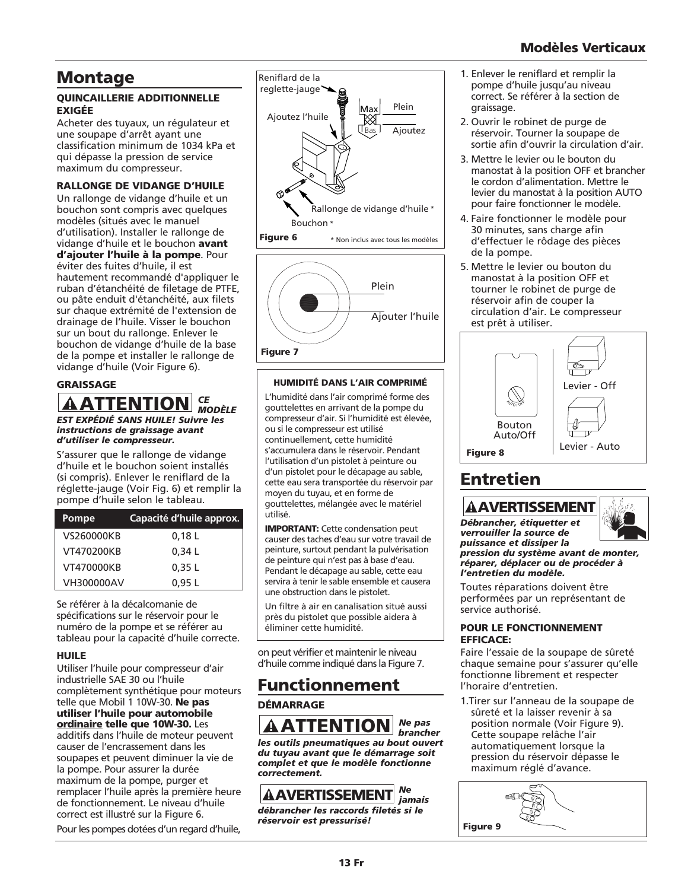### Modèles Verticaux

### Montage

#### QUINCAILLERIE ADDITIONNELLE EXIGÉE

Acheter des tuyaux, un régulateur et une soupape d'arrêt ayant une classification minimum de 1034 kPa et qui dépasse la pression de service maximum du compresseur.

#### RALLONGE DE VIDANGE D'HUILE

Un rallonge de vidange d'huile et un bouchon sont compris avec quelques modèles (situés avec le manuel d'utilisation). Installer le rallonge de vidange d'huile et le bouchon avant d'ajouter l'huile à la pompe. Pour éviter des fuites d'huile, il est hautement recommandé d'appliquer le ruban d'étanchéité de filetage de PTFE, ou pâte enduit d'étanchéité, aux filets sur chaque extrémité de l'extension de drainage de l'huile. Visser le bouchon sur un bout du rallonge. Enlever le bouchon de vidange d'huile de la base de la pompe et installer le rallonge de vidange d'huile (Voir Figure 6).

#### GRAISSAGE

#### *CE MODÈLE EST EXPÉDIÉ SANS HUILE! Suivre les instructions de graissage avant d'utiliser le compresseur.* **ATTENTION**

S'assurer que le rallonge de vidange d'huile et le bouchon soient installés (si compris). Enlever le reniflard de la réglette-jauge (Voir Fig. 6) et remplir la pompe d'huile selon le tableau.

| Pompe      | Capacité d'huile approx. |
|------------|--------------------------|
| VS260000KB | 0,18 L                   |
| VT470200KB | 0.34L                    |
| VT470000KB | 0.35L                    |
| VH300000AV | 0.95L                    |

Se référer à la décalcomanie de spécifications sur le réservoir pour le numéro de la pompe et se référer au tableau pour la capacité d'huile correcte.

#### HUILE

Utiliser l'huile pour compresseur d'air industrielle SAE 30 ou l'huile complètement synthétique pour moteurs telle que Mobil 1 10W-30. Ne pas utiliser l'huile pour automobile ordinaire telle que 10W-30. Les additifs dans l'huile de moteur peuvent causer de l'encrassement dans les soupapes et peuvent diminuer la vie de la pompe. Pour assurer la durée maximum de la pompe, purger et remplacer l'huile après la première heure de fonctionnement. Le niveau d'huile correct est illustré sur la Figure 6.

Pour les pompes dotées d'un regard d'huile,





#### HUMIDITÉ DANS L'AIR COMPRIMÉ

L'humidité dans l'air comprimé forme des gouttelettes en arrivant de la pompe du compresseur d'air. Si l'humidité est élevée, ou si le compresseur est utilisé continuellement, cette humidité s'accumulera dans le réservoir. Pendant l'utilisation d'un pistolet à peinture ou d'un pistolet pour le décapage au sable, cette eau sera transportée du réservoir par moyen du tuyau, et en forme de gouttelettes, mélangée avec le matériel utilisé.

IMPORTANT: Cette condensation peut causer des taches d'eau sur votre travail de peinture, surtout pendant la pulvérisation de peinture qui n'est pas à base d'eau. Pendant le décapage au sable, cette eau servira à tenir le sable ensemble et causera une obstruction dans le pistolet.

Un filtre à air en canalisation situé aussi près du pistolet que possible aidera à éliminer cette humidité.

on peut vérifier et maintenir le niveau d'huile comme indiqué dans la Figure 7.

### Functionnement

#### **DÉMARRAGE**

*Ne pas brancher les outils pneumatiques au bout ouvert du tuyau avant que le démarrage soit complet et que le modèle fonctionne correctement.* **AATTENTION**<br>es outils pneumatiques au bout tuyau avant que le démariement<br>complet et que le modèle font<br>correctement.<br>**AAVERTISSEMENT** 

#### *Ne jamais*

*débrancher les raccords filetés si le réservoir est pressurisé!*

- 1. Enlever le reniflard et remplir la pompe d'huile jusqu'au niveau correct. Se référer à la section de graissage.
- 2. Ouvrir le robinet de purge de réservoir. Tourner la soupape de sortie afin d'ouvrir la circulation d'air.
- 3. Mettre le levier ou le bouton du manostat à la position OFF et brancher le cordon d'alimentation. Mettre le levier du manostat à la position AUTO pour faire fonctionner le modèle.
- 4. Faire fonctionner le modèle pour 30 minutes, sans charge afin d'effectuer le rôdage des pièces de la pompe.
- 5. Mettre le levier ou bouton du manostat à la position OFF et tourner le robinet de purge de réservoir afin de couper la circulation d'air. Le compresseur est prêt à utiliser.



### Entretien



*Débrancher, étiquetter et verrouiller la source de puissance et dissiper la*



*pression du système avant de monter, réparer, déplacer ou de procéder à l'entretien du modèle.* 

Toutes réparations doivent être performées par un représentant de service authorisé.

#### POUR LE FONCTIONNEMENT EFFICACE:

Faire l'essaie de la soupape de sûreté chaque semaine pour s'assurer qu'elle fonctionne librement et respecter l'horaire d'entretien.

1.Tirer sur l'anneau de la soupape de sûreté et la laisser revenir à sa position normale (Voir Figure 9). Cette soupape relâche l'air automatiquement lorsque la pression du réservoir dépasse le maximum réglé d'avance.

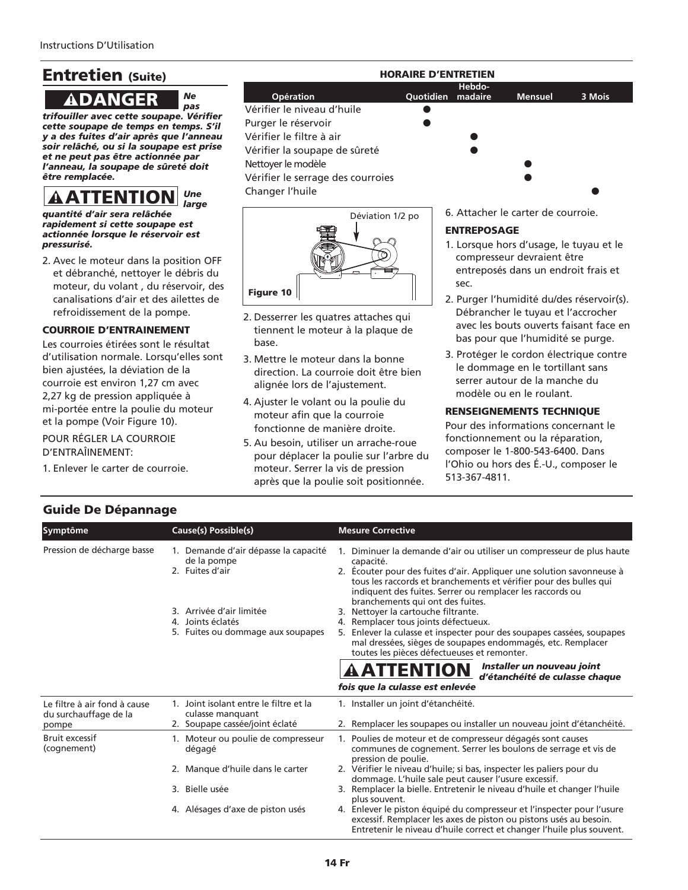## Entretien (Suite)

*trifouiller avec cette soupape. Vérifier cette soupape de temps en temps. S'il y a des fuites d'air après que l'anneau soir relâché, ou si la soupape est prise et ne peut pas être actionnée par l'anneau, la soupape de sûreté doit être remplacée.* **ADANGER**<br>
fouiller avec cette soupap<br>
tte soupape de temps en t<br>
a des fuites d'air après que<br>
ir relâché, ou si la soupape<br>
ne peut pas être actionné<br>
nneau, la soupape de sûre<br>
re remplacée.<br> **AATTENTION** 

*Ne pas*

#### *Une large*

*quantité d'air sera relâchée rapidement si cette soupape est actionnée lorsque le réservoir est pressurisé.*

2. Avec le moteur dans la position OFF et débranché, nettoyer le débris du moteur, du volant , du réservoir, des canalisations d'air et des ailettes de refroidissement de la pompe.

#### COURROIE D'ENTRAINEMENT

Les courroies étirées sont le résultat d'utilisation normale. Lorsqu'elles sont bien ajustées, la déviation de la courroie est environ 1,27 cm avec 2,27 kg de pression appliquée à mi-portée entre la poulie du moteur et la pompe (Voir Figure 10).

POUR RÉGLER LA COURROIE D'ENTRAÎINEMENT:

1. Enlever le carter de courroie.

#### **Hebdo-Opération Quotidien madaire Mensuel 3 Mois** Vérifier le niveau d'huile Purger le réservoir Vérifier le filtre à air Vérifier la soupape de sûreté Nettoyer le modèle Vérifier le serrage des courroies Changer l'huile HORAIRE D'ENTRETIEN



- 2. Desserrer les quatres attaches qui tiennent le moteur à la plaque de base.
- 3. Mettre le moteur dans la bonne direction. La courroie doit être bien alignée lors de l'ajustement.
- 4. Ajuster le volant ou la poulie du moteur afin que la courroie fonctionne de manière droite.
- 5. Au besoin, utiliser un arrache-roue pour déplacer la poulie sur l'arbre du moteur. Serrer la vis de pression après que la poulie soit positionnée.

6. Attacher le carter de courroie.

#### ENTREPOSAGE

- 1. Lorsque hors d'usage, le tuyau et le compresseur devraient être entreposés dans un endroit frais et sec.
- 2. Purger l'humidité du/des réservoir(s). Débrancher le tuyau et l'accrocher avec les bouts ouverts faisant face en bas pour que l'humidité se purge.
- 3. Protéger le cordon électrique contre le dommage en le tortillant sans serrer autour de la manche du modèle ou en le roulant.

#### RENSEIGNEMENTS TECHNIQUE

Pour des informations concernant le fonctionnement ou la réparation, composer le 1-800-543-6400. Dans l'Ohio ou hors des É.-U., composer le 513-367-4811.

### Guide De Dépannage

| Symptôme                                                       | Cause(s) Possible(s)                                                                         | <b>Mesure Corrective</b>                                                                                                                                                                                                                                                                                                          |
|----------------------------------------------------------------|----------------------------------------------------------------------------------------------|-----------------------------------------------------------------------------------------------------------------------------------------------------------------------------------------------------------------------------------------------------------------------------------------------------------------------------------|
| Pression de décharge basse                                     | 1. Demande d'air dépasse la capacité<br>de la pompe<br>2. Fuites d'air                       | 1. Diminuer la demande d'air ou utiliser un compresseur de plus haute<br>capacité.<br>2. Ecouter pour des fuites d'air. Appliquer une solution savonneuse à<br>tous les raccords et branchements et vérifier pour des bulles qui<br>indiquent des fuites. Serrer ou remplacer les raccords ou<br>branchements qui ont des fuites. |
|                                                                | 3. Arrivée d'air limitée<br>4. Joints éclatés<br>5. Fuites ou dommage aux soupapes           | 3. Nettoyer la cartouche filtrante.<br>4. Remplacer tous joints défectueux.<br>5. Enlever la culasse et inspecter pour des soupapes cassées, soupapes<br>mal dressées, sièges de soupapes endommagés, etc. Remplacer<br>toutes les pièces défectueuses et remonter.                                                               |
|                                                                |                                                                                              | Installer un nouveau joint<br><u>A ATTENTION</u><br>d'étanchéité de culasse chaque<br>fois que la culasse est enlevée                                                                                                                                                                                                             |
| Le filtre à air fond à cause<br>du surchauffage de la<br>pompe | 1. Joint isolant entre le filtre et la<br>culasse manquant<br>2. Soupape cassée/joint éclaté | 1. Installer un joint d'étanchéité.<br>2. Remplacer les soupapes ou installer un nouveau joint d'étanchéité.                                                                                                                                                                                                                      |
| <b>Bruit excessif</b><br>(cognement)                           | 1. Moteur ou poulie de compresseur<br>dégagé                                                 | 1. Poulies de moteur et de compresseur dégagés sont causes<br>communes de cognement. Serrer les boulons de serrage et vis de<br>pression de poulie.                                                                                                                                                                               |
|                                                                | 2. Manque d'huile dans le carter                                                             | 2. Vérifier le niveau d'huile; si bas, inspecter les paliers pour du<br>dommage. L'huile sale peut causer l'usure excessif.                                                                                                                                                                                                       |
|                                                                | 3. Bielle usée                                                                               | 3. Remplacer la bielle. Entretenir le niveau d'huile et changer l'huile<br>plus souvent.                                                                                                                                                                                                                                          |
|                                                                | 4. Alésages d'axe de piston usés                                                             | 4. Enlever le piston équipé du compresseur et l'inspecter pour l'usure<br>excessif. Remplacer les axes de piston ou pistons usés au besoin.<br>Entretenir le niveau d'huile correct et changer l'huile plus souvent.                                                                                                              |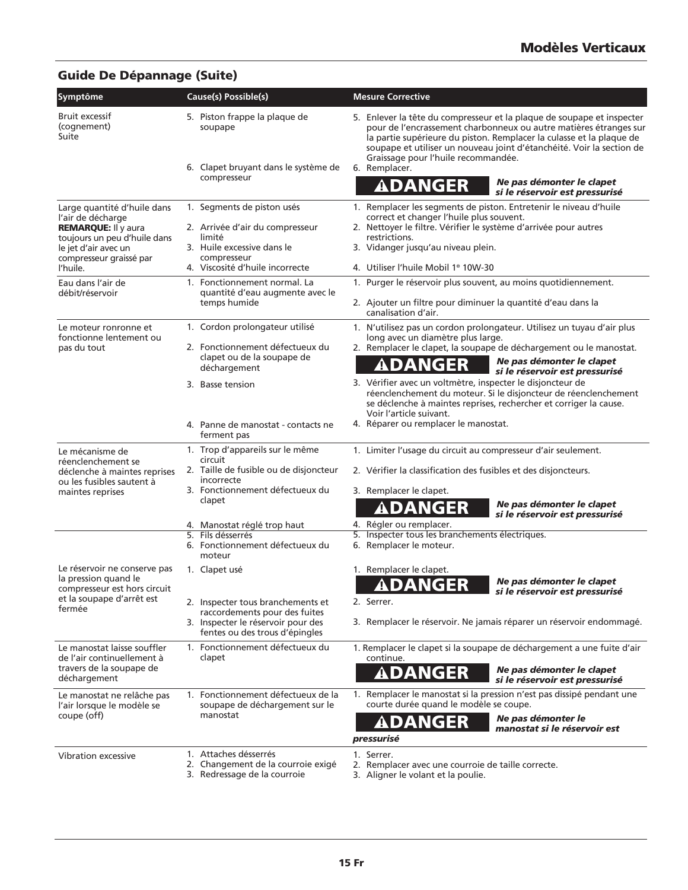### Guide De Dépannage (Suite)

| <b>Symptôme</b>                                                                                                                                                               | Cause(s) Possible(s)                                                                                                                                    | <b>Mesure Corrective</b>                                                                                                                                                                                                                                                                                                                                                                            |
|-------------------------------------------------------------------------------------------------------------------------------------------------------------------------------|---------------------------------------------------------------------------------------------------------------------------------------------------------|-----------------------------------------------------------------------------------------------------------------------------------------------------------------------------------------------------------------------------------------------------------------------------------------------------------------------------------------------------------------------------------------------------|
| <b>Bruit excessif</b><br>(cognement)<br>Suite                                                                                                                                 | 5. Piston frappe la plaque de<br>soupape<br>6. Clapet bruyant dans le système de<br>compresseur                                                         | 5. Enlever la tête du compresseur et la plaque de soupape et inspecter<br>pour de l'encrassement charbonneux ou autre matières étranges sur<br>la partie supérieure du piston. Remplacer la culasse et la plaque de<br>soupape et utiliser un nouveau joint d'étanchéité. Voir la section de<br>Graissage pour l'huile recommandée.<br>6. Remplacer.<br>Ne pas démonter le clapet<br><b>ADANGER</b> |
|                                                                                                                                                                               |                                                                                                                                                         | si le réservoir est pressurisé                                                                                                                                                                                                                                                                                                                                                                      |
| Large quantité d'huile dans<br>l'air de décharge<br><b>REMARQUE: Il y aura</b><br>toujours un peu d'huile dans<br>le jet d'air avec un<br>compresseur graissé par<br>l'huile. | 1. Segments de piston usés<br>2. Arrivée d'air du compresseur<br>limité<br>3. Huile excessive dans le<br>compresseur<br>4. Viscosité d'huile incorrecte | 1. Remplacer les segments de piston. Entretenir le niveau d'huile<br>correct et changer l'huile plus souvent.<br>2. Nettoyer le filtre. Vérifier le système d'arrivée pour autres<br>restrictions.<br>3. Vidanger jusqu'au niveau plein.<br>4. Utiliser l'huile Mobil 1 <sup>®</sup> 10W-30                                                                                                         |
| Eau dans l'air de                                                                                                                                                             | 1. Fonctionnement normal. La                                                                                                                            | 1. Purger le réservoir plus souvent, au moins quotidiennement.                                                                                                                                                                                                                                                                                                                                      |
| débit/réservoir                                                                                                                                                               | quantité d'eau augmente avec le<br>temps humide                                                                                                         | 2. Ajouter un filtre pour diminuer la quantité d'eau dans la<br>canalisation d'air.                                                                                                                                                                                                                                                                                                                 |
| Le moteur ronronne et<br>fonctionne lentement ou<br>pas du tout                                                                                                               | 1. Cordon prolongateur utilisé<br>2. Fonctionnement défectueux du<br>clapet ou de la soupape de                                                         | 1. N'utilisez pas un cordon prolongateur. Utilisez un tuyau d'air plus<br>long avec un diamètre plus large.<br>2. Remplacer le clapet, la soupape de déchargement ou le manostat.<br>Ne pas démonter le clapet<br>ADANGER                                                                                                                                                                           |
|                                                                                                                                                                               | déchargement<br>3. Basse tension                                                                                                                        | si le réservoir est pressurisé<br>3. Vérifier avec un voltmètre, inspecter le disjoncteur de<br>réenclenchement du moteur. Si le disjoncteur de réenclenchement<br>se déclenche à maintes reprises, rechercher et corriger la cause.                                                                                                                                                                |
|                                                                                                                                                                               | 4. Panne de manostat - contacts ne<br>ferment pas                                                                                                       | Voir l'article suivant.<br>4. Réparer ou remplacer le manostat.                                                                                                                                                                                                                                                                                                                                     |
| Le mécanisme de                                                                                                                                                               | 1. Trop d'appareils sur le même<br>circuit                                                                                                              | 1. Limiter l'usage du circuit au compresseur d'air seulement.                                                                                                                                                                                                                                                                                                                                       |
| réenclenchement se<br>déclenche à maintes reprises<br>ou les fusibles sautent à                                                                                               | 2. Taille de fusible ou de disjoncteur<br>incorrecte<br>3. Fonctionnement défectueux du                                                                 | 2. Vérifier la classification des fusibles et des disjoncteurs.<br>3. Remplacer le clapet.                                                                                                                                                                                                                                                                                                          |
| maintes reprises                                                                                                                                                              | clapet                                                                                                                                                  | Ne pas démonter le clapet<br>ADANGER<br>si le réservoir est pressurisé                                                                                                                                                                                                                                                                                                                              |
|                                                                                                                                                                               | 4. Manostat réglé trop haut<br>5. Fils désserrés<br>6. Fonctionnement défectueux du<br>moteur                                                           | 4. Régler ou remplacer.<br>5. Inspecter tous les branchements électriques.<br>6. Remplacer le moteur.                                                                                                                                                                                                                                                                                               |
| Le réservoir ne conserve pas<br>la pression quand le<br>compresseur est hors circuit<br>et la soupape d'arrêt est<br>fermée                                                   | 1. Clapet usé                                                                                                                                           | 1. Remplacer le clapet.<br>Ne pas démonter le clapet<br>DANGER<br>si le réservoir est pressurisé                                                                                                                                                                                                                                                                                                    |
|                                                                                                                                                                               | 2. Inspecter tous branchements et<br>raccordements pour des fuites<br>3. Inspecter le réservoir pour des                                                | 2. Serrer.<br>3. Remplacer le réservoir. Ne jamais réparer un réservoir endommagé.                                                                                                                                                                                                                                                                                                                  |
|                                                                                                                                                                               | fentes ou des trous d'épingles                                                                                                                          |                                                                                                                                                                                                                                                                                                                                                                                                     |
| Le manostat laisse souffler<br>de l'air continuellement à<br>travers de la soupape de                                                                                         | 1. Fonctionnement défectueux du<br>clapet                                                                                                               | 1. Remplacer le clapet si la soupape de déchargement a une fuite d'air<br>continue.<br>Ne pas démonter le clapet                                                                                                                                                                                                                                                                                    |
| déchargement                                                                                                                                                                  |                                                                                                                                                         | ADANGER<br>si le réservoir est pressurisé                                                                                                                                                                                                                                                                                                                                                           |
| Le manostat ne relâche pas<br>l'air lorsque le modèle se<br>coupe (off)                                                                                                       | 1. Fonctionnement défectueux de la<br>soupape de déchargement sur le<br>manostat                                                                        | 1. Remplacer le manostat si la pression n'est pas dissipé pendant une<br>courte durée quand le modèle se coupe.                                                                                                                                                                                                                                                                                     |
|                                                                                                                                                                               |                                                                                                                                                         | Ne pas démonter le<br>ADANGER<br>manostat si le réservoir est<br>pressurisé                                                                                                                                                                                                                                                                                                                         |
| Vibration excessive                                                                                                                                                           | 1. Attaches désserrés<br>2. Changement de la courroie exigé<br>3. Redressage de la courroie                                                             | 1. Serrer.<br>2. Remplacer avec une courroie de taille correcte.<br>3. Aligner le volant et la poulie.                                                                                                                                                                                                                                                                                              |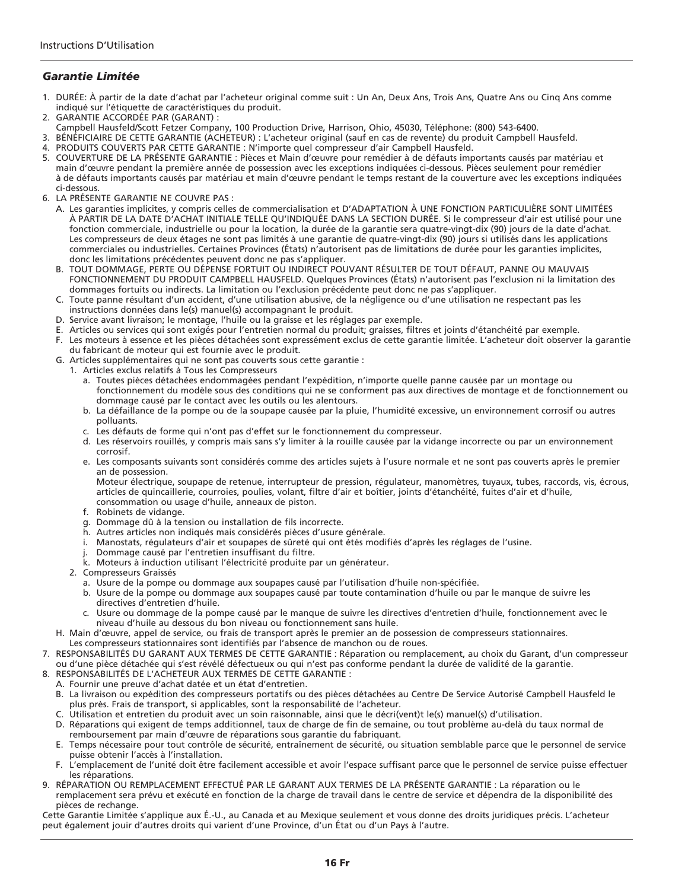#### *Garantie Limitée*

- 1. DURÉE: À partir de la date d'achat par l'acheteur original comme suit : Un An, Deux Ans, Trois Ans, Quatre Ans ou Cinq Ans comme indiqué sur l'étiquette de caractéristiques du produit.
- 2. GARANTIE ACCORDÉE PAR (GARANT) :
- Campbell Hausfeld/Scott Fetzer Company, 100 Production Drive, Harrison, Ohio, 45030, Téléphone: (800) 543-6400.
- 3. BÉNÉFICIAIRE DE CETTE GARANTIE (ACHETEUR) : L'acheteur original (sauf en cas de revente) du produit Campbell Hausfeld.
- 4. PRODUITS COUVERTS PAR CETTE GARANTIE : N'importe quel compresseur d'air Campbell Hausfeld.
- 5. COUVERTURE DE LA PRÉSENTE GARANTIE : Pièces et Main d'œuvre pour remédier à de défauts importants causés par matériau et main d'œuvre pendant la première année de possession avec les exceptions indiquées ci-dessous. Pièces seulement pour remédier à de défauts importants causés par matériau et main d'œuvre pendant le temps restant de la couverture avec les exceptions indiquées ci-dessous.
- 6. LA PRÉSENTE GARANTIE NE COUVRE PAS :
	- A. Les garanties implicites, y compris celles de commercialisation et D'ADAPTATION À UNE FONCTION PARTICULIÈRE SONT LIMITÉES À PARTIR DE LA DATE D'ACHAT INITIALE TELLE QU'INDIQUÉE DANS LA SECTION DURÉE. Si le compresseur d'air est utilisé pour une fonction commerciale, industrielle ou pour la location, la durée de la garantie sera quatre-vingt-dix (90) jours de la date d'achat. Les compresseurs de deux étages ne sont pas limités à une garantie de quatre-vingt-dix (90) jours si utilisés dans les applications commerciales ou industrielles. Certaines Provinces (États) n'autorisent pas de limitations de durée pour les garanties implicites, donc les limitations précédentes peuvent donc ne pas s'appliquer.
	- B. TOUT DOMMAGE, PERTE OU DÉPENSE FORTUIT OU INDIRECT POUVANT RÉSULTER DE TOUT DÉFAUT, PANNE OU MAUVAIS FONCTIONNEMENT DU PRODUIT CAMPBELL HAUSFELD. Quelques Provinces (États) n'autorisent pas l'exclusion ni la limitation des dommages fortuits ou indirects. La limitation ou l'exclusion précédente peut donc ne pas s'appliquer.
	- C. Toute panne résultant d'un accident, d'une utilisation abusive, de la négligence ou d'une utilisation ne respectant pas les instructions données dans le(s) manuel(s) accompagnant le produit.
	- D. Service avant livraison; le montage, l'huile ou la graisse et les réglages par exemple.
	- E. Articles ou services qui sont exigés pour l'entretien normal du produit; graisses, filtres et joints d'étanchéité par exemple.
	- F. Les moteurs à essence et les pièces détachées sont expressément exclus de cette garantie limitée. L'acheteur doit observer la garantie du fabricant de moteur qui est fournie avec le produit.
	- G. Articles supplémentaires qui ne sont pas couverts sous cette garantie :
		- 1. Articles exclus relatifs à Tous les Compresseurs
			- a. Toutes pièces détachées endommagées pendant l'expédition, n'importe quelle panne causée par un montage ou fonctionnement du modèle sous des conditions qui ne se conforment pas aux directives de montage et de fonctionnement ou dommage causé par le contact avec les outils ou les alentours.
			- b. La défaillance de la pompe ou de la soupape causée par la pluie, l'humidité excessive, un environnement corrosif ou autres polluants.
			- c. Les défauts de forme qui n'ont pas d'effet sur le fonctionnement du compresseur.
			- d. Les réservoirs rouillés, y compris mais sans s'y limiter à la rouille causée par la vidange incorrecte ou par un environnement corrosif.
			- e. Les composants suivants sont considérés comme des articles sujets à l'usure normale et ne sont pas couverts après le premier an de possession.

Moteur électrique, soupape de retenue, interrupteur de pression, régulateur, manomètres, tuyaux, tubes, raccords, vis, écrous, articles de quincaillerie, courroies, poulies, volant, filtre d'air et boîtier, joints d'étanchéité, fuites d'air et d'huile, consommation ou usage d'huile, anneaux de piston.

- f. Robinets de vidange.
- g. Dommage dû à la tension ou installation de fils incorrecte.
- h. Autres articles non indiqués mais considérés pièces d'usure générale.
- i. Manostats, régulateurs d'air et soupapes de sûreté qui ont étés modifiés d'après les réglages de l'usine.
- j. Dommage causé par l'entretien insuffisant du filtre.
- k. Moteurs à induction utilisant l'électricité produite par un générateur.
- 2. Compresseurs Graissés
	- a. Usure de la pompe ou dommage aux soupapes causé par l'utilisation d'huile non-spécifiée.
	- b. Usure de la pompe ou dommage aux soupapes causé par toute contamination d'huile ou par le manque de suivre les directives d'entretien d'huile.
	- c. Usure ou dommage de la pompe causé par le manque de suivre les directives d'entretien d'huile, fonctionnement avec le niveau d'huile au dessous du bon niveau ou fonctionnement sans huile.
- H. Main d'œuvre, appel de service, ou frais de transport après le premier an de possession de compresseurs stationnaires.
- Les compresseurs stationnaires sont identifiés par l'absence de manchon ou de roues.
- 7. RESPONSABILITÉS DU GARANT AUX TERMES DE CETTE GARANTIE : Réparation ou remplacement, au choix du Garant, d'un compresseur ou d'une pièce détachée qui s'est révélé défectueux ou qui n'est pas conforme pendant la durée de validité de la garantie.
- 8. RESPONSABILITÉS DE L'ACHETEUR AUX TERMES DE CETTE GARANTIE :
	- A. Fournir une preuve d'achat datée et un état d'entretien.
	- B. La livraison ou expédition des compresseurs portatifs ou des pièces détachées au Centre De Service Autorisé Campbell Hausfeld le plus près. Frais de transport, si applicables, sont la responsabilité de l'acheteur.
	- C. Utilisation et entretien du produit avec un soin raisonnable, ainsi que le décri(vent)t le(s) manuel(s) d'utilisation.
	- D. Réparations qui exigent de temps additionnel, taux de charge de fin de semaine, ou tout problème au-delà du taux normal de remboursement par main d'œuvre de réparations sous garantie du fabriquant.
	- E. Temps nécessaire pour tout contrôle de sécurité, entraînement de sécurité, ou situation semblable parce que le personnel de service puisse obtenir l'accès à l'installation.
	- F. L'emplacement de l'unité doit être facilement accessible et avoir l'espace suffisant parce que le personnel de service puisse effectuer les réparations.
- 9. RÉPARATION OU REMPLACEMENT EFFECTUÉ PAR LE GARANT AUX TERMES DE LA PRÉSENTE GARANTIE : La réparation ou le remplacement sera prévu et exécuté en fonction de la charge de travail dans le centre de service et dépendra de la disponibilité des pièces de rechange.

Cette Garantie Limitée s'applique aux É.-U., au Canada et au Mexique seulement et vous donne des droits juridiques précis. L'acheteur peut également jouir d'autres droits qui varient d'une Province, d'un État ou d'un Pays à l'autre.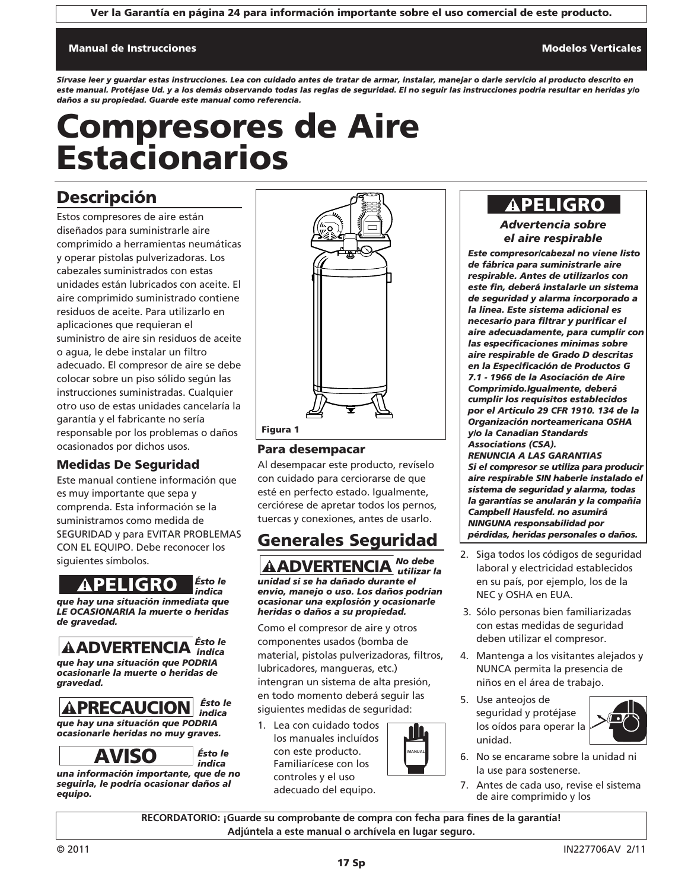Ver la Garantía en página 24 para información importante sobre el uso comercial de este producto.

#### Manual de Instrucciones Modelos Verticales Modelos Verticales Modelos Verticales Modelos Verticales Modelos Ve

*Sírvase leer y guardar estas instrucciones. Lea con cuidado antes de tratar de armar, instalar, manejar o darle servicio al producto descrito en este manual. Protéjase Ud. y a los demás observando todas las reglas de seguridad. El no seguir las instrucciones podría resultar en heridas y/o daños a su propiedad. Guarde este manual como referencia.*

# Compresores de Aire Estacionarios

### Descripción

Estos compresores de aire están diseñados para suministrarle aire comprimido a herramientas neumáticas y operar pistolas pulverizadoras. Los cabezales suministrados con estas unidades están lubricados con aceite. El aire comprimido suministrado contiene residuos de aceite. Para utilizarlo en aplicaciones que requieran el suministro de aire sin residuos de aceite o agua, le debe instalar un filtro adecuado. El compresor de aire se debe colocar sobre un piso sólido según las instrucciones suministradas. Cualquier otro uso de estas unidades cancelaría la garantía y el fabricante no sería responsable por los problemas o daños ocasionados por dichos usos.

#### Medidas De Seguridad

Este manual contiene información que es muy importante que sepa y comprenda. Esta información se la suministramos como medida de SEGURIDAD y para EVITAR PROBLEMAS CON EL EQUIPO. Debe reconocer los siguientes símbolos.



*LE OCASIONARIA la muerte o heridas de gravedad.*

*Ésto le indica*

*que hay una situación que PODRIA ocasionarle la muerte o heridas de gravedad.* **APELIGRO**<br> **Expansion in the Second ADVERTENCIA**<br> **ADVERTENCIA**<br> **ADVERTENCIA**<br> **ADVERTENCIA**<br> **APRECAUCION**<br> **APRECAUCION**<br> **APRECAUCION**<br> **APRECAUCION**<br> **APRECAUCION**<br> **APRECAUCION**<br> **ANISO** 

*Ésto le indica que hay una situación que PODRIA*

*ocasionarle heridas no muy graves.*

*Ésto le indica*

*una información importante, que de no seguirla, le podría ocasionar daños al equipo.*



#### Para desempacar

Al desempacar este producto, revíselo con cuidado para cerciorarse de que esté en perfecto estado. Igualmente, cerciórese de apretar todos los pernos, tuercas y conexiones, antes de usarlo.

## Generales Seguridad

*No debe utilizar la unidad si se ha dañado durante el envío, manejo o uso. Los daños podrían ocasionar una explosión y ocasionarle heridas o daños a su propiedad.* **A ADVERTENCIA** 

Como el compresor de aire y otros componentes usados (bomba de material, pistolas pulverizadoras, filtros, lubricadores, mangueras, etc.) intengran un sistema de alta presión, en todo momento deberá seguir las siguientes medidas de seguridad:

1. Lea con cuidado todos los manuales incluídos con este producto. Familiarícese con los controles y el uso adecuado del equipo.



## **APELIGRO**

*Advertencia sobre el aire respirable*

*Este compresor/cabezal no viene listo de fábrica para suministrarle aire respirable. Antes de utilizarlos con este fin, deberá instalarle un sistema de seguridad y alarma incorporado a la línea. Este sistema adicional es necesario para filtrar y purificar el aire adecuadamente, para cumplir con las especificaciones mínimas sobre aire respirable de Grado D descritas en la Especificación de Productos G 7.1 - 1966 de la Asociación de Aire Comprimido.Igualmente, deberá cumplir los requisitos establecidos por el Artículo 29 CFR 1910. 134 de la Organización norteamericana OSHA y/o la Canadian Standards Associations (CSA). RENUNCIA A LAS GARANTIAS Si el compresor se utiliza para producir aire respirable SIN haberle instalado el sistema de seguridad y alarma, todas la garantías se anularán y la compañia Campbell Hausfeld. no asumirá NINGUNA responsabilidad por pérdidas, heridas personales o daños.*

- 2. Siga todos los códigos de seguridad laboral y electricidad establecidos en su país, por ejemplo, los de la NEC y OSHA en EUA.
- 3. Sólo personas bien familiarizadas con estas medidas de seguridad deben utilizar el compresor.
- 4. Mantenga a los visitantes alejados y NUNCA permita la presencia de niños en el área de trabajo.
- 5. Use anteojos de seguridad y protéjase los oídos para operar la unidad.



- 6. No se encarame sobre la unidad ni la use para sostenerse.
- 7. Antes de cada uso, revise el sistema de aire comprimido y los

**RECORDATORIO: ¡Guarde su comprobante de compra con fecha para fines de la garantía! Adjúntela a este manual o archívela en lugar seguro.**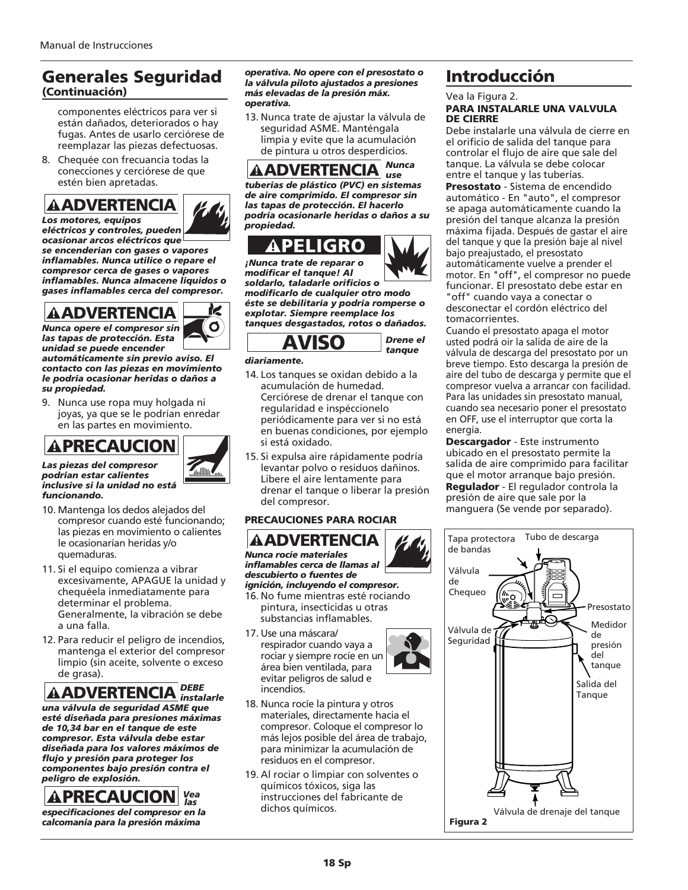### Generales Seguridad (Continuación)

componentes eléctricos para ver si están dañados, deteriorados o hay fugas. Antes de usarlo cerciórese de reemplazar las piezas defectuosas.

8. Chequée con frecuancia todas la conecciones y cerciórese de que estén bien apretadas.

# *Los motores, equipos*



*eléctricos y controles, pueden ocasionar arcos eléctricos que se encenderían con gases o vapores inflamables. Nunca utilice o repare el compresor cerca de gases o vapores inflamables. Nunca almacene líquidos o gases inflamables cerca del compresor.*

# *Nunca opere el compresor sin*



 $\frac{1}{2}$ 

*las tapas de protección. Esta unidad se puede encender automáticamente sin previo aviso. El*

*contacto con las piezas en movimiento le podría ocasionar heridas o daños a su propiedad.*

9. Nunca use ropa muy holgada ni joyas, ya que se le podrían enredar en las partes en movimiento.



#### *Las piezas del compresor podrían estar calientes inclusive si la unidad no está funcionando.*

- 10. Mantenga los dedos alejados del compresor cuando esté funcionando; las piezas en movimiento o calientes le ocasionarían heridas y/o quemaduras.
- 11. Si el equipo comienza a vibrar excesivamente, APAGUE la unidad y chequéela inmediatamente para determinar el problema. Generalmente, la vibración se debe a una falla.
- 12. Para reducir el peligro de incendios, mantenga el exterior del compresor limpio (sin aceite, solvente o exceso de grasa).

#### *DEBE AADVERTENCIA instalarle*

*una válvula de seguridad ASME que esté diseñada para presiones máximas de 10,34 bar en el tanque de este compresor. Esta válvula debe estar diseñada para los valores máximos de flujo y presión para proteger los componentes bajo presión contra el peligro de explosión.* **ADVERTENCIA**<br>
s motores, equipos<br>
sectricos y controles, puede<br>
efectricos y controles, puede<br>
efectricos que el enserer de gases o v<br>
flamables. Nunca utilice o i<br>
flamables. Nunca a dimacene<br>
ses inflamables erca de gas

## *Vea las*

*especificaciones del compresor en la calcomanía para la presión máxima*

*operativa. No opere con el presostato o la válvula piloto ajustados a presiones más elevadas de la presión máx. operativa.* 

13. Nunca trate de ajustar la válvula de seguridad ASME. Manténgala limpia y evite que la acumulación de pintura u otros desperdicios.

*Nunca use tuberías de plástico (PVC) en sistemas de aire comprimido. El compresor sin las tapas de protección. El hacerlo podría ocasionarle heridas o daños a su propiedad.*

*¡Nunca trate de reparar o modificar el tanque! Al*

*soldarlo, taladarle orificios o modificarlo de cualquier otro modo éste se debilitaría y podría romperse o*

*explotar. Siempre reemplace los tanques desgastados, rotos o dañados.* 



*Drene el tanque*

#### *diariamente.*

- 14. Los tanques se oxidan debido a la acumulación de humedad. Cerciórese de drenar el tanque con regularidad e inspéccionelo periódicamente para ver si no está en buenas condiciones, por ejemplo si está oxidado. **ADVERTENCIA**<br>
berías de plástico (PVC) en<br>
e aire comprimido. El compi<br>
st apas de protección. El ha<br>
orpiedad.<br>
<br> **ADVERTENCIA**<br>
constraire de reparar o<br>
odificar el tanque! Al<br>
lunca trate de reparar o<br>
odificarlo de cu
- 15. Si expulsa aire rápidamente podría levantar polvo o residuos dañinos. Libere el aire lentamente para drenar el tanque o liberar la presión del compresor.

#### PRECAUCIONES PARA ROCIAR

*Nunca rocíe materiales inflamables cerca de llamas al descubierto o fuentes de ignición, incluyendo el compresor.*

- 16. No fume mientras esté rociando pintura, insecticidas u otras substancias inflamables.
- 17. Use una máscara/ respirador cuando vaya a rociar y siempre rocíe en un área bien ventilada, para evitar peligros de salud e incendios.
- 18. Nunca rocíe la pintura y otros materiales, directamente hacia el compresor. Coloque el compresor lo más lejos posible del área de trabajo, para minimizar la acumulación de residuos en el compresor.
- 19. Al rociar o limpiar con solventes o químicos tóxicos, siga las instrucciones del fabricante de dichos químicos.

### Introducción

Vea la Figura 2.

#### PARA INSTALARLE UNA VALVULA DE CIERRE

Debe instalarle una válvula de cierre en el orificio de salida del tanque para controlar el flujo de aire que sale del tanque. La válvula se debe colocar entre el tanque y las tuberías.

Presostato - Sistema de encendido automático - En "auto", el compresor se apaga automáticamente cuando la presión del tanque alcanza la presión máxima fijada. Después de gastar el aire del tanque y que la presión baje al nivel bajo preajustado, el presostato automáticamente vuelve a prender el motor. En "off", el compresor no puede funcionar. El presostato debe estar en "off" cuando vaya a conectar o

desconectar el cordón eléctrico del tomacorrientes.

Cuando el presostato apaga el motor usted podrá oir la salida de aire de la válvula de descarga del presostato por un breve tiempo. Esto descarga la presión de aire del tubo de descarga y permite que el compresor vuelva a arrancar con facilidad. Para las unidades sin presostato manual, cuando sea necesario poner el presostato en OFF, use el interruptor que corta la energía.

Descargador - Este instrumento ubicado en el presostato permite la salida de aire comprimido para facilitar que el motor arranque bajo presión. Regulador - El regulador controla la presión de aire que sale por la manguera (Se vende por separado).



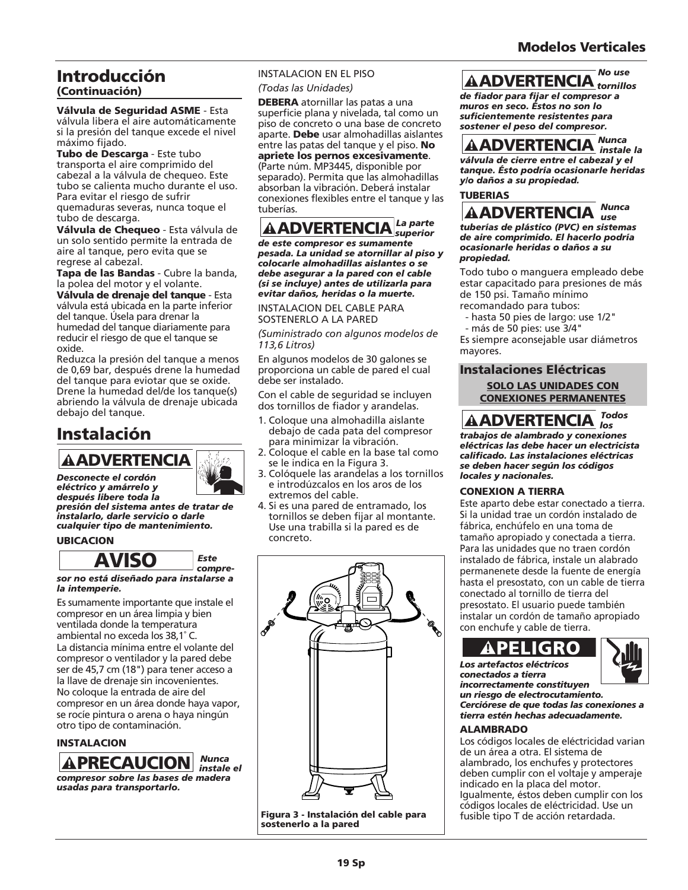## Introducción

#### (Continuación)

Válvula de Seguridad ASME - Esta válvula libera el aire automáticamente si la presión del tanque excede el nivel máximo fijado.

Tubo de Descarga - Este tubo transporta el aire comprimido del cabezal a la válvula de chequeo. Este tubo se calienta mucho durante el uso. Para evitar el riesgo de sufrir quemaduras severas, nunca toque el tubo de descarga.

Válvula de Chequeo - Esta válvula de un solo sentido permite la entrada de aire al tanque, pero evita que se regrese al cabezal.

Tapa de las Bandas - Cubre la banda, la polea del motor y el volante.

Válvula de drenaje del tanque - Esta válvula está ubicada en la parte inferior del tanque. Úsela para drenar la humedad del tanque diariamente para reducir el riesgo de que el tanque se oxide.

Reduzca la presión del tanque a menos de 0,69 bar, después drene la humedad del tanque para eviotar que se oxide. Drene la humedad del/de los tanque(s) abriendo la válvula de drenaje ubicada debajo del tanque.

## Instalación

*Desconecte el cordón eléctrico y amárrelo y*



*después libere toda la presión del sistema antes de tratar de instalarlo, darle servicio o darle cualquier tipo de mantenimiento.*

#### UBICACION



*sor no está diseñado para instalarse a la intemperie.*

Es sumamente importante que instale el compresor en un área limpia y bien ventilada donde la temperatura ambiental no exceda los 38,1˚ C.

La distancia mínima entre el volante del compresor o ventilador y la pared debe ser de 45,7 cm (18") para tener acceso a la llave de drenaje sin incovenientes. No coloque la entrada de aire del compresor en un área donde haya vapor, se rocíe pintura o arena o haya ningún otro tipo de contaminación. **ADVERTENCIA**<br>
esconecte el cordón<br>
éctrico y amárrelo y<br>
espués ibere toda la<br>
esión del sistema antes de<br>
stalarlo, darle servicio o da<br>
alquier tipo de mantenimie<br>
BICACION<br> **AVISO**<br>
or no está diseñado para institutant

#### INSTALACION



*(Todas las Unidades)*

INTRALACION IREL PISO **AND**<br> **ENERAL ACION EN EL PERIOR DE CARDO EN EN EN ENFERENCIA d'ES para del fisiolo para figir el compresa<br>
superficie plana y niveladas tal como un muros en seco. Estos no son del<br>
superficie plana** DEBERA atornillar las patas a una superficie plana y nivelada, tal como un piso de concreto o una base de concreto aparte. Debe usar almohadillas aislantes entre las patas del tanque y el piso. No apriete los pernos excesivamente. (Parte núm. MP3445, disponible por separado). Permita que las almohadillas absorban la vibración. Deberá instalar conexiones flexibles entre el tanque y las tuberías.

#### *La parte*  **AADVERTENCIA** Superior

*de este compresor es sumamente pesada. La unidad se atornillar al piso y colocarle almohadillas aislantes o se debe asegurar a la pared con el cable (si se incluye) antes de utilizarla para evitar daños, heridas o la muerte.*

INSTALACION DEL CABLE PARA SOSTENERLO A LA PARED

*(Suministrado con algunos modelos de 113,6 Litros)*

En algunos modelos de 30 galones se proporciona un cable de pared el cual debe ser instalado.

Con el cable de seguridad se incluyen dos tornillos de fiador y arandelas.

- 1. Coloque una almohadilla aislante debajo de cada pata del compresor para minimizar la vibración.
- 2. Coloque el cable en la base tal como se le indica en la Figura 3.
- 3. Colóquele las arandelas a los tornillos e introdúzcalos en los aros de los extremos del cable.
- 4. Si es una pared de entramado, los tornillos se deben fijar al montante. Use una trabilla si la pared es de concreto.



Figura 3 - Instalación del cable para sostenerlo a la pared

#### *No use tornillos*

*de fiador para fijar el compresor a muros en seco. Éstos no son lo suficientemente resistentes para sostener el peso del compresor.*

#### *Nunca instale la*

*válvula de cierre entre el cabezal y el tanque. Ésto podría ocasionarle heridas y/o daños a su propiedad.* 





*tuberías de plástico (PVC) en sistemas de aire comprimido. El hacerlo podría ocasionarle heridas o daños a su propiedad.*

Todo tubo o manguera empleado debe estar capacitado para presiones de más de 150 psi. Tamaño mínimo recomandado para tubos:

- hasta 50 pies de largo: use 1/2"
- más de 50 pies: use 3/4"

Es siempre aconsejable usar diámetros mayores.

#### Instalaciones Eléctricas SOLO LAS UNIDADES CON CONEXIONES PERMANENTES

*Todos*  **AADVERTENCIA** *trabajos de alambrado y conexiones eléctricas las debe hacer un electricista*

*calificado. Las instalaciones eléctricas se deben hacer según los códigos locales y nacionales.*

#### CONEXION A TIERRA

Este aparto debe estar conectado a tierra. Si la unidad trae un cordón instalado de fábrica, enchúfelo en una toma de tamaño apropiado y conectada a tierra. Para las unidades que no traen cordón instalado de fábrica, instale un alabrado permanenete desde la fuente de energía hasta el presostato, con un cable de tierra conectado al tornillo de tierra del presostato. El usuario puede también instalar un cordón de tamaño apropiado con enchufe y cable de tierra.

*Los artefactos eléctricos conectados a tierra*



*incorrectamente constituyen un riesgo de electrocutamiento. Cerciórese de que todas las conexiones a tierra estén hechas adecuadamente.*

#### ALAMBRADO

Los códigos locales de eléctricidad varian de un área a otra. El sistema de alambrado, los enchufes y protectores deben cumplir con el voltaje y amperaje indicado en la placa del motor. Igualmente, éstos deben cumplir con los códigos locales de eléctricidad. Use un fusible tipo T de acción retardada.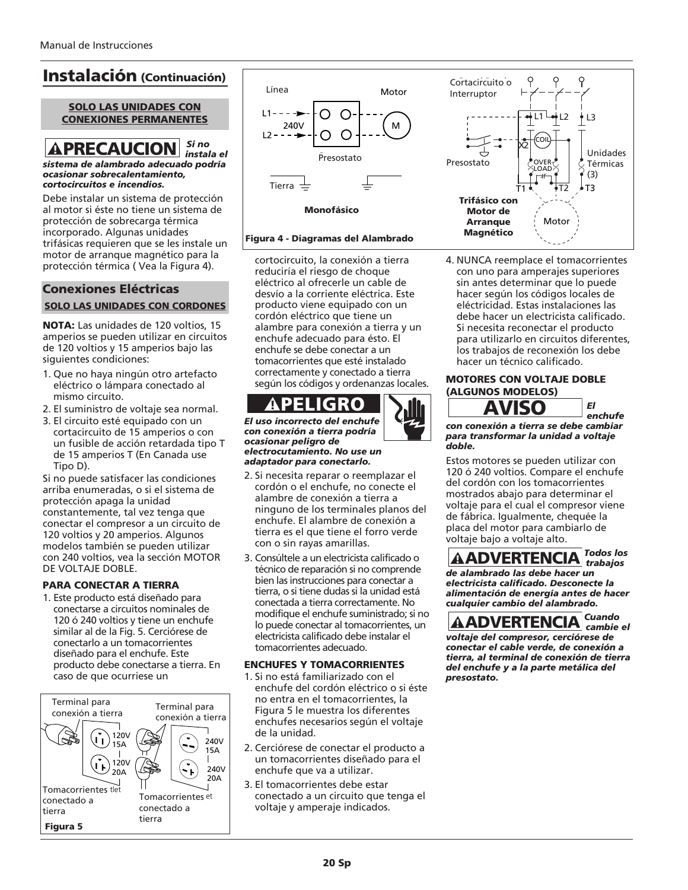*cortocircuitos e incendios.*

### Instalación (Continuación)

#### SOLO LAS UNIDADES CON  $\overline{CONEXIONES PERMANENTS}$   $\begin{bmatrix} 1 & 1 & - & - & - \end{bmatrix}$  O

#### *Si no instala el sistema de alambrado adecuado podría ocasionar sobrecalentamiento,* **APRECAUCION**

Debe instalar un sistema de protección al motor si éste no tiene un sistema de protección de sobrecarga térmica incorporado. Algunas unidades trifásicas requieren que se les instale un motor de arranque magnético para la protección térmica ( Vea la Figura 4).

#### Conexiones Eléctricas SOLO LAS UNIDADES CON CORDONES

NOTA: Las unidades de 120 voltios, 15 amperios se pueden utilizar en circuitos de 120 voltios y 15 amperios bajo las siguientes condiciones:

- 1. Que no haya ningún otro artefacto eléctrico o lámpara conectado al mismo circuito.
- 2. El suministro de voltaje sea normal.
- 3. El circuito esté equipado con un cortacircuito de 15 amperios o con un fusible de acción retardada tipo T de 15 amperios T (En Canada use Tipo D).

Si no puede satisfacer las condiciones arriba enumeradas, o si el sistema de protección apaga la unidad constantemente, tal vez tenga que conectar el compresor a un circuito de 120 voltios y 20 amperios. Algunos modelos también se pueden utilizar con 240 voltios, vea la sección MOTOR DE VOLTAJE DOBLE.

#### PARA CONECTAR A TIERRA

1. Este producto está diseñado para conectarse a circuitos nominales de 120 ó 240 voltios y tiene un enchufe similar al de la Fig. 5. Cerciórese de conectarlo a un tomacorrientes diseñado para el enchufe. Este producto debe conectarse a tierra. En caso de que ocurriese un





#### Monofásico

#### Figura 4 - Diagramas del Alambrado

cortocircuito, la conexión a tierra reduciría el riesgo de choque eléctrico al ofrecerle un cable de desvío a la corriente eléctrica. Este producto viene equipado con un cordón eléctrico que tiene un alambre para conexión a tierra y un enchufe adecuado para ésto. El enchufe se debe conectar a un tomacorrientes que esté instalado correctamente y conectado a tierra según los códigos y ordenanzas locales.

## PELIGRO

*El uso incorrecto del enchufe con conexión a tierra podría ocasionar peligro de electrocutamiento. No use un adaptador para conectarlo.*

- 2. Si necesita reparar o reemplazar el cordón o el enchufe, no conecte el alambre de conexión a tierra a ninguno de los terminales planos del enchufe. El alambre de conexión a tierra es el que tiene el forro verde con o sin rayas amarillas.
- 3. Consúltele a un electricista calificado o técnico de reparación si no comprende bien las instrucciones para conectar a tierra, o si tiene dudas si la unidad está conectada a tierra correctamente. No modifique el enchufe suministrado; si no lo puede conectar al tomacorrientes, un electricista calificado debe instalar el tomacorrientes adecuado.

#### ENCHUFES Y TOMACORRIENTES

- 1. Si no está familiarizado con el enchufe del cordón eléctrico o si éste no entra en el tomacorrientes, la Figura 5 le muestra los diferentes enchufes necesarios según el voltaje de la unidad.
- 2. Cerciórese de conectar el producto a un tomacorrientes diseñado para el enchufe que va a utilizar.
- 3. El tomacorrientes debe estar conectado a un circuito que tenga el voltaje y amperaje indicados.



4. NUNCA reemplace el tomacorrientes con uno para amperajes superiores sin antes determinar que lo puede hacer según los códigos locales de eléctricidad. Estas instalaciones las debe hacer un electricista calificado. Si necesita reconectar el producto para utilizarlo en circuitos diferentes, los trabajos de reconexión los debe hacer un técnico calificado.

#### MOTORES CON VOLTAJE DOBLE (ALGUNOS MODELOS)



*El enchufe*

#### *con conexión a tierra se debe cambiar para transformar la unidad a voltaje doble.*

Estos motores se pueden utilizar con 120 ó 240 voltios. Compare el enchufe del cordón con los tomacorrientes mostrados abajo para determinar el voltaje para el cual el compresor viene de fábrica. Igualmente, chequée la placa del motor para cambiarlo de voltaje bajo a voltaje alto. **AVISO**<br>
In conexión a tierra se debe<br>
Intera transformar la unidad a<br>
Intera transformar la unidad a<br>
Interaction con los tomacorric<br>
Interactions abajo para determ<br>
Interactions and el compre<br>
Interactions and the proper

#### *Todos los trabajos de alambrado las debe hacer un*

*electricista calificado. Desconecte la alimentación de energía antes de hacer cualquier cambio del alambrado.*

*Cuando cambie el voltaje del compresor, cerciórese de conectar el cable verde, de conexión a tierra, al terminal de conexión de tierra del enchufe y a la parte metálica del presostato.*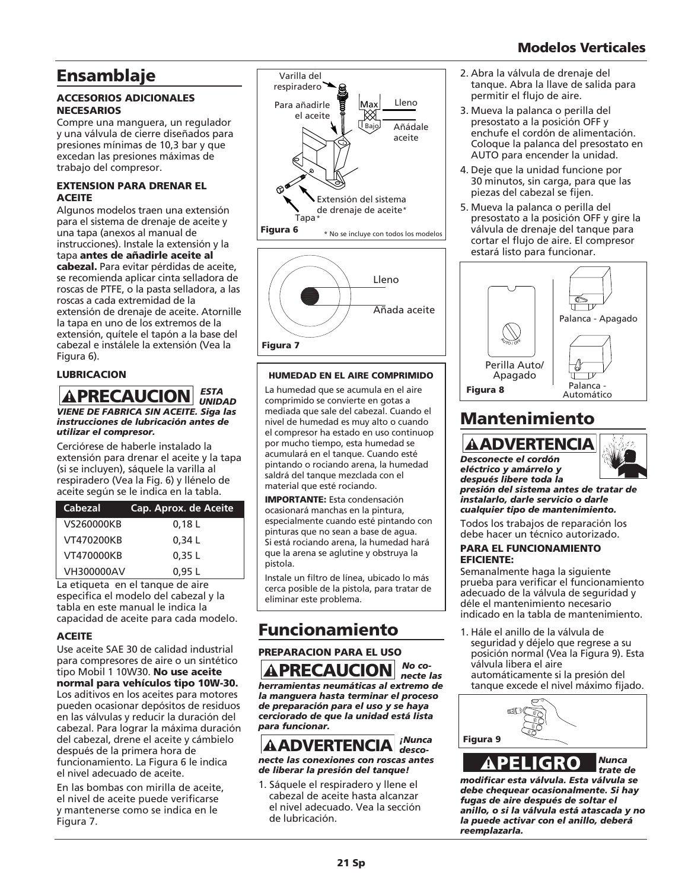### Modelos Verticales

### Ensamblaje

#### ACCESORIOS ADICIONALES **NECESARIOS**

Compre una manguera, un regulador y una válvula de cierre diseñados para presiones mínimas de 10,3 bar y que excedan las presiones máximas de trabajo del compresor.

#### EXTENSION PARA DRENAR EL ACEITE

Algunos modelos traen una extensión para el sistema de drenaje de aceite y una tapa (anexos al manual de instrucciones). Instale la extensión y la tapa antes de añadirle aceite al cabezal. Para evitar pérdidas de aceite, se recomienda aplicar cinta selladora de roscas de PTFE, o la pasta selladora, a las roscas a cada extremidad de la extensión de drenaje de aceite. Atornille la tapa en uno de los extremos de la extensión, quítele el tapón a la base del cabezal e instálele la extensión (Vea la Figura 6).

#### LUBRICACION

#### *ESTA*  **A PRECAUCION** *ESTA VIENE DE FABRICA SIN ACEITE. Siga las instrucciones de lubricación antes de utilizar el compresor.*

Cerciórese de haberle instalado la extensión para drenar el aceite y la tapa (si se incluyen), sáquele la varilla al respiradero (Vea la Fig. 6) y llénelo de aceite según se le indica en la tabla.

| Cabezal    | Cap. Aprox. de Aceite |
|------------|-----------------------|
| VS260000KB | 0,18L                 |
| VT470200KB | 0.34L                 |
| VT470000KB | 0.35L                 |
| VH300000AV | 0.95 L                |

La etiqueta en el tanque de aire especifica el modelo del cabezal y la tabla en este manual le indica la capacidad de aceite para cada modelo.

#### **ACEITE**

Use aceite SAE 30 de calidad industrial para compresores de aire o un sintético tipo Mobil 1 10W30. No use aceite normal para vehículos tipo 10W-30. Los aditivos en los aceites para motores pueden ocasionar depósitos de residuos en las válvulas y reducir la duración del cabezal. Para lograr la máxima duración del cabezal, drene el aceite y cámbielo después de la primera hora de funcionamiento. La Figura 6 le indica el nivel adecuado de aceite.

En las bombas con mirilla de aceite, el nivel de aceite puede verificarse y mantenerse como se indica en le Figura 7.





#### HUMEDAD EN EL AIRE COMPRIMIDO

La humedad que se acumula en el aire comprimido se convierte en gotas a mediada que sale del cabezal. Cuando el nivel de humedad es muy alto o cuando el compresor ha estado en uso continuop por mucho tiempo, esta humedad se acumulará en el tanque. Cuando esté pintando o rociando arena, la humedad saldrá del tanque mezclada con el material que esté rociando.

IMPORTANTE: Esta condensación ocasionará manchas en la pintura, especialmente cuando esté pintando con pinturas que no sean a base de agua. Si está rociando arena, la humedad hará que la arena se aglutine y obstruya la pistola.

Instale un filtro de línea, ubicado lo más cerca posible de la pistola, para tratar de eliminar este problema.

### Funcionamiento

#### PREPARACION PARA EL USO *No co-*

*necte las herramientas neumáticas al extremo de la manguera hasta terminar el proceso de preparación para el uso y se haya cerciorado de que la unidad está lista para funcionar.* **APRECAUCION** No co<br>
pramientas neumáticas al extremo<br>
manguera hasta terminar el proce:<br>
preparación para el uso y e haya<br>
preciorado de que la unidad está list.<br>
preparacionar.<br> **AADVERTENCIA** i<sup>Nunca</sup><br>
desco-



*necte las conexiones con roscas antes de liberar la presión del tanque!*

1. Sáquele el respiradero y llene el cabezal de aceite hasta alcanzar el nivel adecuado. Vea la sección de lubricación.

- 2. Abra la válvula de drenaje del tanque. Abra la llave de salida para permitir el flujo de aire.
- 3. Mueva la palanca o perilla del presostato a la posición OFF y enchufe el cordón de alimentación. Coloque la palanca del presostato en AUTO para encender la unidad.
- 4. Deje que la unidad funcione por 30 minutos, sin carga, para que las piezas del cabezal se fijen.
- 5. Mueva la palanca o perilla del presostato a la posición OFF y gire la válvula de drenaje del tanque para cortar el flujo de aire. El compresor estará listo para funcionar.



## Mantenimiento

*Desconecte el cordón eléctrico y amárrelo y después libere toda la*



*presión del sistema antes de tratar de instalarlo, darle servicio o darle cualquier tipo de mantenimiento.*

Todos los trabajos de reparación los debe hacer un técnico autorizado.

#### PARA EL FUNCIONAMIENTO EFICIENTE:

Semanalmente haga la siguiente prueba para verificar el funcionamiento adecuado de la válvula de seguridad y déle el mantenimiento necesario indicado en la tabla de mantenimiento.

1. Hále el anillo de la válvula de seguridad y déjelo que regrese a su posición normal (Vea la Figura 9). Esta válvula libera el aire automáticamente si la presión del tanque excede el nivel máximo fijado.



*trate de modificar esta válvula. Esta válvula se debe chequear ocasionalmente. Si hay fugas de aire después de soltar el anillo, o si la válvula está atascada y no la puede activar con el anillo, deberá reemplazarla.*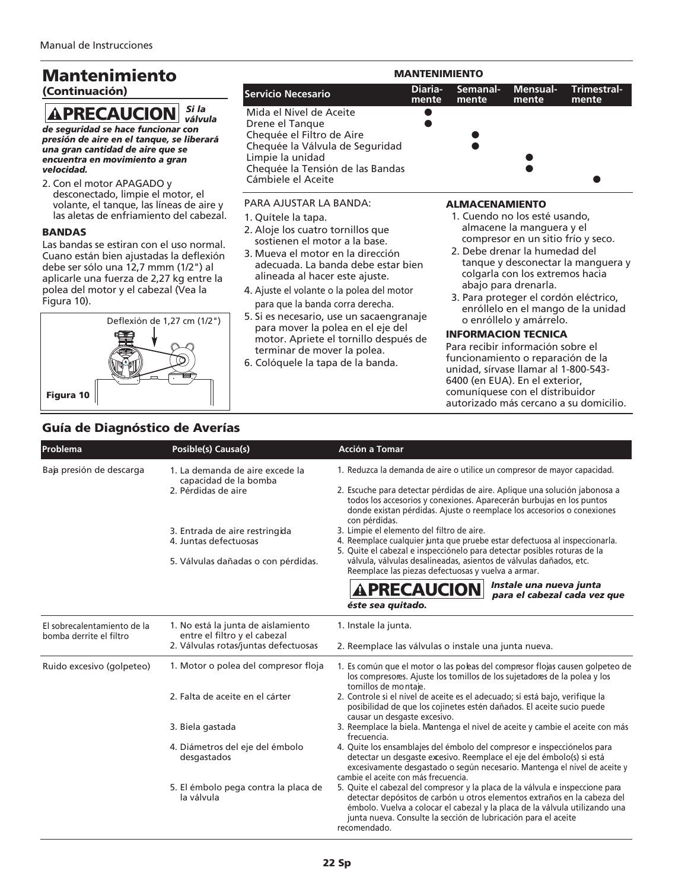### Mantenimiento

#### (Continuación)

#### *Si la válvula* **APRECAUCION**

*de seguridad se hace funcionar con presión de aire en el tanque, se liberará una gran cantidad de aire que se encuentra en movimiento a gran velocidad.*

2. Con el motor APAGADO y desconectado, limpie el motor, el volante, el tanque, las líneas de aire y las aletas de enfriamiento del cabezal.

#### BANDAS

Las bandas se estiran con el uso normal. Cuano están bien ajustadas la deflexión debe ser sólo una 12,7 mmm (1/2") al aplicarle una fuerza de 2,27 kg entre la polea del motor y el cabezal (Vea la Figura 10).



#### PARA AJUSTAR LA BANDA: 1. Quítele la tapa. 2. Aloje los cuatro tornillos que sostienen el motor a la base. 3. Mueva el motor en la dirección ALMACENAMIENTO 1. Cuendo no los esté usando, almacene la manguera y el compresor en un sitio frío y seco. 2. Debe drenar la humedad del Mida el Nivel de Aceite Drene el Tanque ● Chequée el Filtro de Aire Chequée la Válvula de Seguridad Limpie la unidad Chequée la Tensión de las Bandas Cámbiele el Aceite MANTENIMIENTO **Servicio Necesario Diaria- Semanal- Mensual- Trimestralmente mente mente mente**

- adecuada. La banda debe estar bien alineada al hacer este ajuste. 4. Ajuste el volante o la polea del motor tanque y desconectar la manguera y colgarla con los extremos hacia abajo para drenarla.
	- 3. Para proteger el cordón eléctrico, enróllelo en el mango de la unidad o enróllelo y amárrelo.

#### INFORMACION TECNICA

Para recibir información sobre el funcionamiento o reparación de la unidad, sírvase llamar al 1-800-543- 6400 (en EUA). En el exterior, comuníquese con el distribuidor autorizado más cercano a su domicilio.

### Guía de Diagnóstico de Averías

| Problema                                               | Posible(s) Causa(s)                                                                            | <b>Acción a Tomar</b>                                                                                                                                                                                                                                                                                                                             |
|--------------------------------------------------------|------------------------------------------------------------------------------------------------|---------------------------------------------------------------------------------------------------------------------------------------------------------------------------------------------------------------------------------------------------------------------------------------------------------------------------------------------------|
| Baja presión de descarga                               | 1. La demanda de aire excede la<br>capacidad de la bomba<br>2. Pérdidas de aire                | 1. Reduzca la demanda de aire o utilice un compresor de mayor capacidad.<br>2. Escuche para detectar pérdidas de aire. Aplique una solución jabonosa a<br>todos los accesorios y conexiones. Aparecerán burbujas en los puntos<br>donde existan pérdidas. Ajuste o reemplace los accesorios o conexiones                                          |
|                                                        | 3. Entrada de aire restringida<br>4. Juntas defectuosas<br>5. Válvulas dañadas o con pérdidas. | con pérdidas.<br>3. Limpie el elemento del filtro de aire.<br>4. Reemplace cualquier junta que pruebe estar defectuosa al inspeccionarla.<br>5. Quite el cabezal e inspecciónelo para detectar posibles roturas de la<br>válvula, válvulas desalineadas, asientos de válvulas dañados, etc.<br>Reemplace las piezas defectuosas y vuelva a armar. |
|                                                        |                                                                                                | Instale una nueva junta<br><b>APRECAUCION</b><br>para el cabezal cada vez que<br>éste sea quitado.                                                                                                                                                                                                                                                |
| El sobrecalentamiento de la<br>bomba derrite el filtro | 1. No está la junta de aislamiento<br>entre el filtro y el cabezal                             | 1. Instale la junta.                                                                                                                                                                                                                                                                                                                              |
| Ruido excesivo (golpeteo)                              | 2. Válvulas rotas/juntas defectuosas<br>1. Motor o polea del compresor floja                   | 2. Reemplace las válvulas o instale una junta nueva.<br>1. Es común que el motor o las poleas del compresor flojas causen golpeteo de<br>los compresores. Ajuste los tomillos de los sujetadores de la polea y los<br>tornillos de montaje.                                                                                                       |
|                                                        | 2. Falta de aceite en el cárter                                                                | 2. Controle si el nivel de aceite es el adecuado; si está bajo, verifique la<br>posibilidad de que los cojinetes estén dañados. El aceite sucio puede<br>causar un desgaste excesivo.                                                                                                                                                             |
|                                                        | 3. Biela gastada                                                                               | 3. Reemplace la biela. Mantenga el nivel de aceite y cambie el aceite con más<br>frecuencia.                                                                                                                                                                                                                                                      |
|                                                        | 4. Diámetros del eje del émbolo<br>desgastados                                                 | 4. Quite los ensamblajes del émbolo del compresor e inspecciónelos para<br>detectar un desgaste excesivo. Reemplace el eje del émbolo(s) si está<br>excesivamente desgastado o según necesario. Mantenga el nivel de aceite y<br>cambie el aceite con más frecuencia.                                                                             |
|                                                        | 5. El émbolo pega contra la placa de<br>la válvula                                             | 5. Quite el cabezal del compresor y la placa de la válvula e inspeccione para<br>detectar depósitos de carbón u otros elementos extraños en la cabeza del<br>émbolo. Vuelva a colocar el cabezal y la placa de la válvula utilizando una<br>junta nueva. Consulte la sección de lubricación para el aceite<br>recomendado.                        |

para que la banda corra derecha. 5. Si es necesario, use un sacaengranaje para mover la polea en el eje del motor. Apriete el tornillo después de

terminar de mover la polea. 6. Colóquele la tapa de la banda.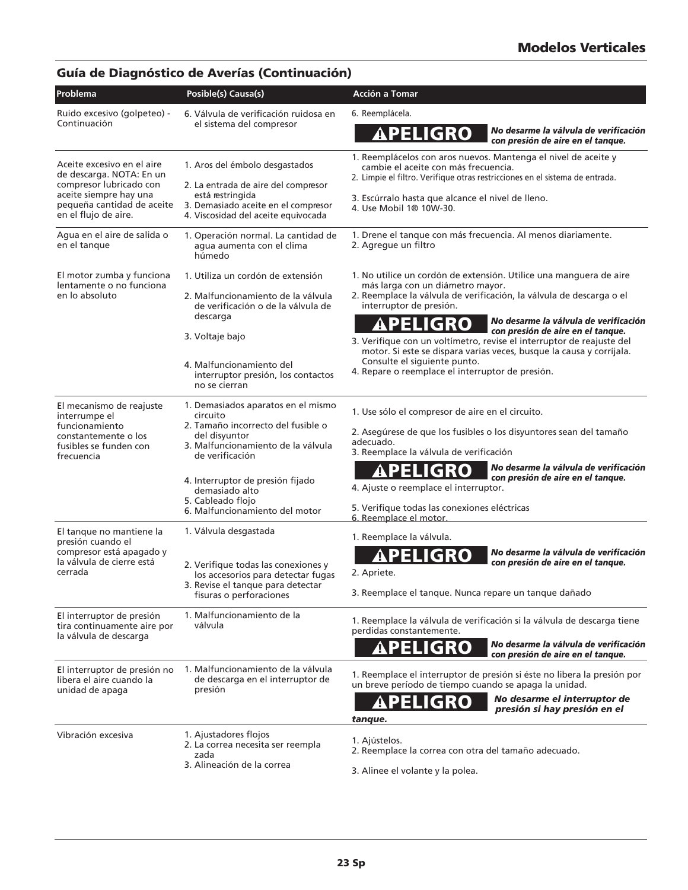### Guía de Diagnóstico de Averías (Continuación)

| Problema                                                                    | Posible(s) Causa(s)                                                        | Acción a Tomar                                                                                                                                                                         |
|-----------------------------------------------------------------------------|----------------------------------------------------------------------------|----------------------------------------------------------------------------------------------------------------------------------------------------------------------------------------|
| Ruido excesivo (golpeteo) -<br>Continuación                                 | 6. Válvula de verificación ruidosa en<br>el sistema del compresor          | 6. Reemplácela.                                                                                                                                                                        |
|                                                                             |                                                                            | No desarme la válvula de verificación<br><b>APELIGRO</b><br>con presión de aire en el tanque.                                                                                          |
| Aceite excesivo en el aire<br>de descarga. NOTA: En un                      | 1. Aros del émbolo desgastados                                             | 1. Reemplácelos con aros nuevos. Mantenga el nivel de aceite y<br>cambie el aceite con más frecuencia.<br>2. Limpie el filtro. Verifique otras restricciones en el sistema de entrada. |
| compresor lubricado con<br>aceite siempre hay una                           | 2. La entrada de aire del compresor<br>está restringida                    |                                                                                                                                                                                        |
| pequeña cantidad de aceite<br>en el flujo de aire.                          | 3. Demasiado aceite en el compresor<br>4. Viscosidad del aceite equivocada | 3. Escúrralo hasta que alcance el nivel de lleno.<br>4. Use Mobil 1 <sup>®</sup> 10W-30.                                                                                               |
| Agua en el aire de salida o<br>en el tanque                                 | 1. Operación normal. La cantidad de<br>agua aumenta con el clima<br>húmedo | 1. Drene el tanque con más frecuencia. Al menos diariamente.<br>2. Agregue un filtro                                                                                                   |
| El motor zumba y funciona                                                   | 1. Utiliza un cordón de extensión                                          | 1. No utilice un cordón de extensión. Utilice una manguera de aire                                                                                                                     |
| lentamente o no funciona<br>en lo absoluto                                  | 2. Malfuncionamiento de la válvula<br>de verificación o de la válvula de   | más larga con un diámetro mayor.<br>2. Reemplace la válvula de verificación, la válvula de descarga o el<br>interruptor de presión.                                                    |
|                                                                             | descarga                                                                   | No desarme la válvula de verificación<br>PELIGRO<br>con presión de aire en el tanque.                                                                                                  |
|                                                                             | 3. Voltaje bajo                                                            | 3. Verifique con un voltímetro, revise el interruptor de reajuste del                                                                                                                  |
|                                                                             | 4. Malfuncionamiento del                                                   | motor. Si este se dispara varias veces, busque la causa y corríjala.<br>Consulte el siguiente punto.                                                                                   |
|                                                                             | interruptor presión, los contactos<br>no se cierran                        | 4. Repare o reemplace el interruptor de presión.                                                                                                                                       |
| El mecanismo de reajuste<br>interrumpe el                                   | 1. Demasiados aparatos en el mismo<br>circuito                             | 1. Use sólo el compresor de aire en el circuito.                                                                                                                                       |
| funcionamiento<br>constantemente o los                                      | 2. Tamaño incorrecto del fusible o<br>del disvuntor                        | 2. Asegúrese de que los fusibles o los disyuntores sean del tamaño                                                                                                                     |
| fusibles se funden con<br>frecuencia                                        | 3. Malfuncionamiento de la válvula<br>de verificación                      | adecuado.<br>3. Reemplace la válvula de verificación                                                                                                                                   |
|                                                                             |                                                                            | No desarme la válvula de verificación<br><b>IGRO</b><br>EU                                                                                                                             |
|                                                                             | 4. Interruptor de presión fijado<br>demasiado alto                         | con presión de aire en el tanque.<br>4. Ajuste o reemplace el interruptor.                                                                                                             |
|                                                                             | 5. Cableado flojo<br>6. Malfuncionamiento del motor                        | 5. Verifique todas las conexiones eléctricas<br>6. Reemplace el motor.                                                                                                                 |
| El tanque no mantiene la                                                    | 1. Válvula desgastada                                                      | 1. Reemplace la válvula.                                                                                                                                                               |
| presión cuando el<br>compresor está apagado y                               |                                                                            | No desarme la válvula de verificación<br>APELIGRO                                                                                                                                      |
| la válvula de cierre está<br>cerrada                                        | 2. Verifique todas las conexiones y<br>los accesorios para detectar fugas  | con presión de aire en el tanque.<br>2. Apriete.                                                                                                                                       |
|                                                                             | 3. Revise el tanque para detectar<br>fisuras o perforaciones               | 3. Reemplace el tanque. Nunca repare un tanque dañado                                                                                                                                  |
| El interruptor de presión<br>tira continuamente aire por                    | 1. Malfuncionamiento de la<br>válvula                                      | 1. Reemplace la válvula de verificación si la válvula de descarga tiene<br>perdidas constantemente.                                                                                    |
| la válvula de descarga                                                      |                                                                            | No desarme la válvula de verificación<br><b>APELIGRO</b><br>con presión de aire en el tanque.                                                                                          |
| El interruptor de presión no<br>libera el aire cuando la<br>unidad de apaga | 1. Malfuncionamiento de la válvula<br>de descarga en el interruptor de     | 1. Reemplace el interruptor de presión si éste no libera la presión por<br>un breve período de tiempo cuando se apaga la unidad.                                                       |
|                                                                             | presión                                                                    | No desarme el interruptor de<br>ligro<br>presión si hay presión en el<br>tanque.                                                                                                       |
| Vibración excesiva                                                          | 1. Ajustadores flojos                                                      |                                                                                                                                                                                        |
|                                                                             | 2. La correa necesita ser reempla<br>zada                                  | 1. Ajústelos.<br>2. Reemplace la correa con otra del tamaño adecuado.                                                                                                                  |
|                                                                             | 3. Alineación de la correa                                                 | 3. Alinee el volante y la polea.                                                                                                                                                       |